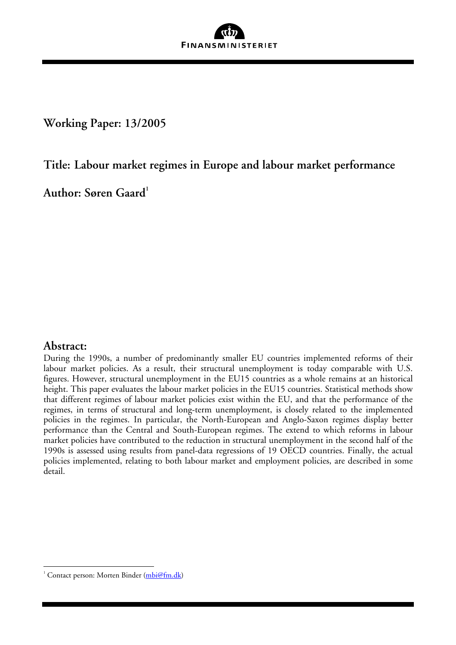

**Working Paper: 13/2005** 

**Title: Labour market regimes in Europe and labour market performance**

**Author: Søren Gaard[1](#page-0-0)**

# **Abstract:**

 $\overline{a}$ 

During the 1990s, a number of predominantly smaller EU countries implemented reforms of their labour market policies. As a result, their structural unemployment is today comparable with U.S. figures. However, structural unemployment in the EU15 countries as a whole remains at an historical height. This paper evaluates the labour market policies in the EU15 countries. Statistical methods show that different regimes of labour market policies exist within the EU, and that the performance of the regimes, in terms of structural and long-term unemployment, is closely related to the implemented policies in the regimes. In particular, the North-European and Anglo-Saxon regimes display better performance than the Central and South-European regimes. The extend to which reforms in labour market policies have contributed to the reduction in structural unemployment in the second half of the 1990s is assessed using results from panel-data regressions of 19 OECD countries. Finally, the actual policies implemented, relating to both labour market and employment policies, are described in some detail.

<span id="page-0-0"></span><sup>&</sup>lt;sup>1</sup> Contact person: Morten Binder [\(mbi@fm.dk](mailto:mbi@fm.dk))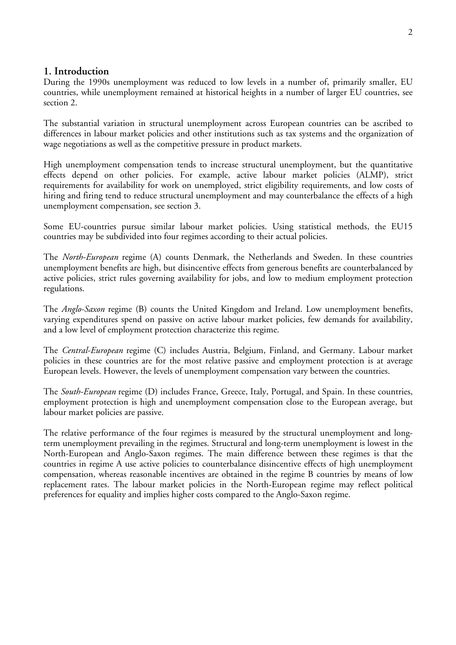# **1. Introduction**

During the 1990s unemployment was reduced to low levels in a number of, primarily smaller, EU countries, while unemployment remained at historical heights in a number of larger EU countries, see section 2.

The substantial variation in structural unemployment across European countries can be ascribed to differences in labour market policies and other institutions such as tax systems and the organization of wage negotiations as well as the competitive pressure in product markets.

High unemployment compensation tends to increase structural unemployment, but the quantitative effects depend on other policies. For example, active labour market policies (ALMP), strict requirements for availability for work on unemployed, strict eligibility requirements, and low costs of hiring and firing tend to reduce structural unemployment and may counterbalance the effects of a high unemployment compensation, see section 3.

Some EU-countries pursue similar labour market policies. Using statistical methods, the EU15 countries may be subdivided into four regimes according to their actual policies.

The *North-European* regime (A) counts Denmark, the Netherlands and Sweden. In these countries unemployment benefits are high, but disincentive effects from generous benefits are counterbalanced by active policies, strict rules governing availability for jobs, and low to medium employment protection regulations.

The *Anglo-Saxon* regime (B) counts the United Kingdom and Ireland. Low unemployment benefits, varying expenditures spend on passive on active labour market policies, few demands for availability, and a low level of employment protection characterize this regime.

The *Central-European* regime (C) includes Austria, Belgium, Finland, and Germany. Labour market policies in these countries are for the most relative passive and employment protection is at average European levels. However, the levels of unemployment compensation vary between the countries.

The *South-European* regime (D) includes France, Greece, Italy, Portugal, and Spain. In these countries, employment protection is high and unemployment compensation close to the European average, but labour market policies are passive.

The relative performance of the four regimes is measured by the structural unemployment and longterm unemployment prevailing in the regimes. Structural and long-term unemployment is lowest in the North-European and Anglo-Saxon regimes. The main difference between these regimes is that the countries in regime A use active policies to counterbalance disincentive effects of high unemployment compensation, whereas reasonable incentives are obtained in the regime B countries by means of low replacement rates. The labour market policies in the North-European regime may reflect political preferences for equality and implies higher costs compared to the Anglo-Saxon regime.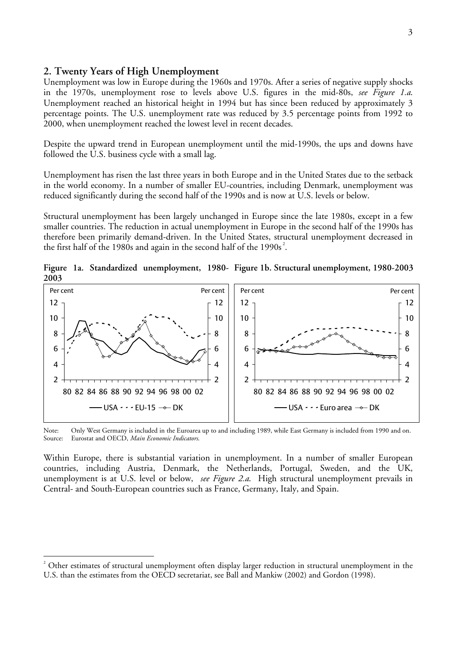## **2. Twenty Years of High Unemployment**

 $\overline{a}$ 

Unemployment was low in Europe during the 1960s and 1970s. After a series of negative supply shocks in the 1970s, unemployment rose to levels above U.S. figures in the mid-80s, *see Figure 1.a*. Unemployment reached an historical height in 1994 but has since been reduced by approximately 3 percentage points. The U.S. unemployment rate was reduced by 3.5 percentage points from 1992 to 2000, when unemployment reached the lowest level in recent decades.

Despite the upward trend in European unemployment until the mid-1990s, the ups and downs have followed the U.S. business cycle with a small lag.

Unemployment has risen the last three years in both Europe and in the United States due to the setback in the world economy. In a number of smaller EU-countries, including Denmark, unemployment was reduced significantly during the second half of the 1990s and is now at U.S. levels or below.

Structural unemployment has been largely unchanged in Europe since the late 1980s, except in a few smaller countries. The reduction in actual unemployment in Europe in the second half of the 1990s has therefore been primarily demand-driven. In the United States, structural unemployment decreased in the first half of the 1980s and again in the second half of the 1990s<sup>[2](#page-2-0)</sup>.

**Figure 1a. Standardized unemployment, 1980- Figure 1b. Structural unemployment, 1980-2003 2003** 



Note: Only West Germany is included in the Euroarea up to and including 1989, while East Germany is included from 1990 and on.<br>Source: Eurostat and OECD, *Main Economic Indicators*. Eurostat and OECD, *Main Economic Indicators*.

Within Europe, there is substantial variation in unemployment. In a number of smaller European countries, including Austria, Denmark, the Netherlands, Portugal, Sweden, and the UK, unemployment is at U.S. level or below, *see Figure 2.a*. High structural unemployment prevails in Central- and South-European countries such as France, Germany, Italy, and Spain.

<span id="page-2-0"></span><sup>2</sup> Other estimates of structural unemployment often display larger reduction in structural unemployment in the U.S. than the estimates from the OECD secretariat, see Ball and Mankiw (2002) and Gordon (1998).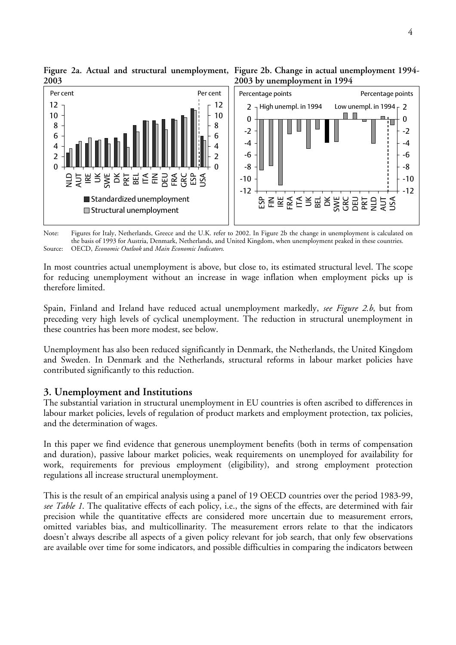

**Figure 2a. Actual and structural unemployment, Figure 2b. Change in actual unemployment 1994- 2003** 

Note: Figures for Italy, Netherlands, Greece and the U.K. refer to 2002. In Figure 2b the change in unemployment is calculated on the basis of 1993 for Austria, Denmark, Netherlands, and United Kingdom, when unemployment peaked in these countries. Source: OECD, *Economic Outlook* and *Main Economic Indicators*.

In most countries actual unemployment is above, but close to, its estimated structural level. The scope for reducing unemployment without an increase in wage inflation when employment picks up is therefore limited.

Spain, Finland and Ireland have reduced actual unemployment markedly, *see Figure 2.b*, but from preceding very high levels of cyclical unemployment. The reduction in structural unemployment in these countries has been more modest, see below.

Unemployment has also been reduced significantly in Denmark, the Netherlands, the United Kingdom and Sweden. In Denmark and the Netherlands, structural reforms in labour market policies have contributed significantly to this reduction.

# **3. Unemployment and Institutions**

The substantial variation in structural unemployment in EU countries is often ascribed to differences in labour market policies, levels of regulation of product markets and employment protection, tax policies, and the determination of wages.

In this paper we find evidence that generous unemployment benefits (both in terms of compensation and duration), passive labour market policies, weak requirements on unemployed for availability for work, requirements for previous employment (eligibility), and strong employment protection regulations all increase structural unemployment.

This is the result of an empirical analysis using a panel of 19 OECD countries over the period 1983-99, *see Table 1*. The qualitative effects of each policy, i.e., the signs of the effects, are determined with fair precision while the quantitative effects are considered more uncertain due to measurement errors, omitted variables bias, and multicollinarity. The measurement errors relate to that the indicators doesn't always describe all aspects of a given policy relevant for job search, that only few observations are available over time for some indicators, and possible difficulties in comparing the indicators between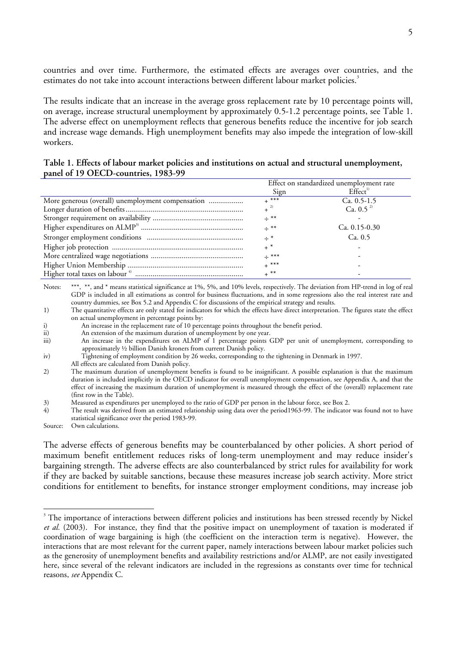countries and over time. Furthermore, the estimated effects are averages over countries, and the estimatesdo not take into account interactions between different labour market policies. $^3$ 

The results indicate that an increase in the average gross replacement rate by 10 percentage points will, on average, increase structural unemployment by approximately 0.5-1.2 percentage points, see Table 1. The adverse effect on unemployment reflects that generous benefits reduce the incentive for job search and increase wage demands. High unemployment benefits may also impede the integration of low-skill workers.

### **Table 1. Effects of labour market policies and institutions on actual and structural unemployment, panel of 19 OECD-countries, 1983-99**

|                                                   | Effect on standardized unemployment rate |                     |  |  |
|---------------------------------------------------|------------------------------------------|---------------------|--|--|
|                                                   | Sign                                     | Effect <sup>1</sup> |  |  |
| More generous (overall) unemployment compensation | $+$ ***                                  | Ca. $0.5-1.5$       |  |  |
|                                                   | $+$ <sup>2)</sup>                        | Ca. $0.5^{2}$       |  |  |
|                                                   | $\div$ **                                |                     |  |  |
|                                                   | $\div$ **                                | Ca. $0.15 - 0.30$   |  |  |
|                                                   | $\div$ *                                 | Ca. 0.5             |  |  |
|                                                   | $+$ *                                    |                     |  |  |
|                                                   | $\div$ ***                               |                     |  |  |
|                                                   | $+$ ***                                  |                     |  |  |
|                                                   | $+$ **                                   |                     |  |  |

Notes: \*\*\*, \*\*, and \* means statistical significance at 1%, 5%, and 10% levels, respectively. The deviation from HP-trend in log of real GDP is included in all estimations as control for business fluctuations, and in some regressions also the real interest rate and country dummies, see Box 5.2 and Appendix C for discussions of the empirical strategy and results.

1) The quantitative effects are only stated for indicators for which the effects have direct interpretation. The figures state the effect on actual unemployment in percentage points by:

i) An increase in the replacement rate of 10 percentage points throughout the benefit period.

ii) An extension of the maximum duration of unemployment by one year.

iii) An increase in the expenditures on ALMP of 1 percentage points GDP per unit of unemployment, corresponding to approximately ½ billion Danish kroners from current Danish policy.

All effects are calculated from Danish policy.

2) The maximum duration of unemployment benefits is found to be insignificant. A possible explanation is that the maximum duration is included implicitly in the OECD indicator for overall unemployment compensation, see Appendix A, and that the effect of increasing the maximum duration of unemployment is measured through the effect of the (overall) replacement rate (first row in the Table).

3) Measured as expenditures per unemployed to the ratio of GDP per person in the labour force, see Box 2.<br>4) The result was derived from an estimated relationship using data over the period1963-99. The indicator

The result was derived from an estimated relationship using data over the period1963-99. The indicator was found not to have statistical significance over the period 1983-99.

Source: Own calculations.

 $\overline{a}$ 

The adverse effects of generous benefits may be counterbalanced by other policies. A short period of maximum benefit entitlement reduces risks of long-term unemployment and may reduce insider's bargaining strength. The adverse effects are also counterbalanced by strict rules for availability for work if they are backed by suitable sanctions, because these measures increase job search activity. More strict conditions for entitlement to benefits, for instance stronger employment conditions, may increase job

iv) Tightening of employment condition by 26 weeks, corresponding to the tightening in Denmark in 1997.

<span id="page-4-0"></span><sup>&</sup>lt;sup>3</sup> The importance of interactions between different policies and institutions has been stressed recently by Nickel *et al.* (2003). For instance, they find that the positive impact on unemployment of taxation is moderated if coordination of wage bargaining is high (the coefficient on the interaction term is negative). However, the interactions that are most relevant for the current paper, namely interactions between labour market policies such as the generosity of unemployment benefits and availability restrictions and/or ALMP, are not easily investigated here, since several of the relevant indicators are included in the regressions as constants over time for technical reasons, *see* Appendix C.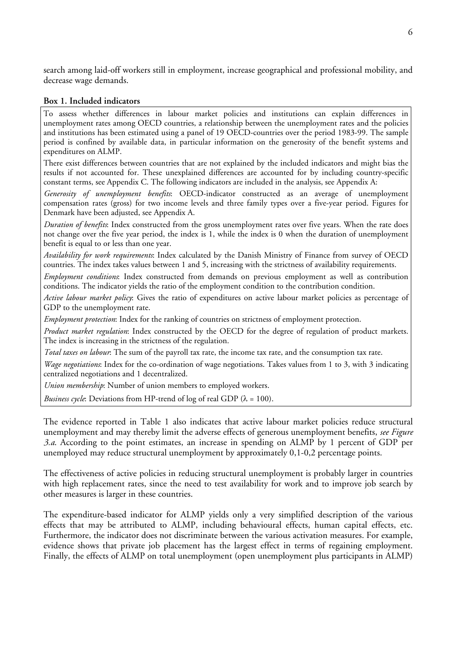search among laid-off workers still in employment, increase geographical and professional mobility, and decrease wage demands.

## **Box 1. Included indicators**

To assess whether differences in labour market policies and institutions can explain differences in unemployment rates among OECD countries, a relationship between the unemployment rates and the policies and institutions has been estimated using a panel of 19 OECD-countries over the period 1983-99. The sample period is confined by available data, in particular information on the generosity of the benefit systems and expenditures on ALMP.

There exist differences between countries that are not explained by the included indicators and might bias the results if not accounted for. These unexplained differences are accounted for by including country-specific constant terms, see Appendix C. The following indicators are included in the analysis, see Appendix A:

*Generosity of unemployment benefits*: OECD-indicator constructed as an average of unemployment compensation rates (gross) for two income levels and three family types over a five-year period. Figures for Denmark have been adjusted, see Appendix A.

*Duration of benefits*: Index constructed from the gross unemployment rates over five years. When the rate does not change over the five year period, the index is 1, while the index is 0 when the duration of unemployment benefit is equal to or less than one year.

*Availability for work requirements*: Index calculated by the Danish Ministry of Finance from survey of OECD countries. The index takes values between 1 and 5, increasing with the strictness of availability requirements.

*Employment conditions*: Index constructed from demands on previous employment as well as contribution conditions. The indicator yields the ratio of the employment condition to the contribution condition.

*Active labour market policy*: Gives the ratio of expenditures on active labour market policies as percentage of GDP to the unemployment rate.

*Employment protection*: Index for the ranking of countries on strictness of employment protection.

*Product market regulation*: Index constructed by the OECD for the degree of regulation of product markets. The index is increasing in the strictness of the regulation.

*Total taxes on labour*: The sum of the payroll tax rate, the income tax rate, and the consumption tax rate.

*Wage negotiations*: Index for the co-ordination of wage negotiations. Takes values from 1 to 3, with 3 indicating centralized negotiations and 1 decentralized.

*Union membership*: Number of union members to employed workers.

*Business cycle*: Deviations from HP-trend of log of real GDP ( $\lambda = 100$ ).

The evidence reported in Table 1 also indicates that active labour market policies reduce structural unemployment and may thereby limit the adverse effects of generous unemployment benefits, *see Figure 3.a*. According to the point estimates, an increase in spending on ALMP by 1 percent of GDP per unemployed may reduce structural unemployment by approximately 0,1-0,2 percentage points.

The effectiveness of active policies in reducing structural unemployment is probably larger in countries with high replacement rates, since the need to test availability for work and to improve job search by other measures is larger in these countries.

The expenditure-based indicator for ALMP yields only a very simplified description of the various effects that may be attributed to ALMP, including behavioural effects, human capital effects, etc. Furthermore, the indicator does not discriminate between the various activation measures. For example, evidence shows that private job placement has the largest effect in terms of regaining employment. Finally, the effects of ALMP on total unemployment (open unemployment plus participants in ALMP)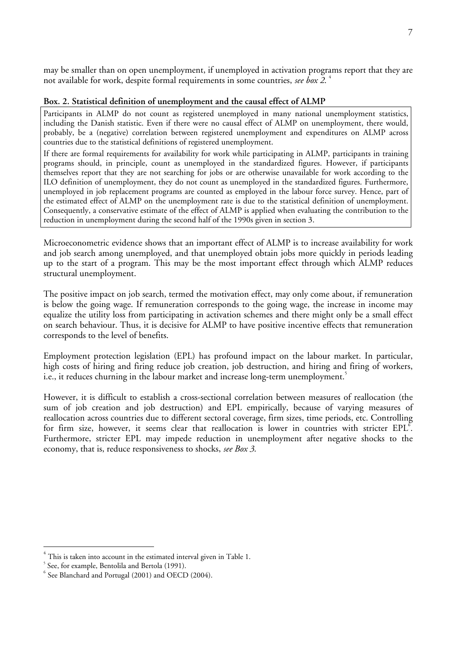may be smaller than on open unemployment, if unemployed in activation programs report that they are not available for work, despite formal requirements in some countries, *see box 2*. [4](#page-6-0)

# **Box. 2. Statistical definition of unemployment and the causal effect of ALMP**

Participants in ALMP do not count as registered unemployed in many national unemployment statistics, including the Danish statistic. Even if there were no causal effect of ALMP on unemployment, there would, probably, be a (negative) correlation between registered unemployment and expenditures on ALMP across countries due to the statistical definitions of registered unemployment.

If there are formal requirements for availability for work while participating in ALMP, participants in training programs should, in principle, count as unemployed in the standardized figures. However, if participants themselves report that they are not searching for jobs or are otherwise unavailable for work according to the ILO definition of unemployment, they do not count as unemployed in the standardized figures. Furthermore, unemployed in job replacement programs are counted as employed in the labour force survey. Hence, part of the estimated effect of ALMP on the unemployment rate is due to the statistical definition of unemployment. Consequently, a conservative estimate of the effect of ALMP is applied when evaluating the contribution to the reduction in unemployment during the second half of the 1990s given in section 3.

Microeconometric evidence shows that an important effect of ALMP is to increase availability for work and job search among unemployed, and that unemployed obtain jobs more quickly in periods leading up to the start of a program. This may be the most important effect through which ALMP reduces structural unemployment.

The positive impact on job search, termed the motivation effect, may only come about, if remuneration is below the going wage. If remuneration corresponds to the going wage, the increase in income may equalize the utility loss from participating in activation schemes and there might only be a small effect on search behaviour. Thus, it is decisive for ALMP to have positive incentive effects that remuneration corresponds to the level of benefits.

Employment protection legislation (EPL) has profound impact on the labour market. In particular, high costs of hiring and firing reduce job creation, job destruction, and hiring and firing of workers, i.e.,it reduces churning in the labour market and increase long-term unemployment. $^5$ 

However, it is difficult to establish a cross-sectional correlation between measures of reallocation (the sum of job creation and job destruction) and EPL empirically, because of varying measures of reallocation across countries due to different sectoral coverage, firm sizes, time periods, etc. Controlling for firm size, however, it seems clear that reallocation is lower in countries with stricter  $EPL^{\sigma}$ [.](#page-6-2) Furthermore, stricter EPL may impede reduction in unemployment after negative shocks to the economy, that is, reduce responsiveness to shocks, *see Box 3*.

<span id="page-6-0"></span><sup>4</sup>  $\frac{4}{3}$  This is taken into account in the estimated interval given in Table 1.<br> $\frac{5}{3}$  See, for example, Bentolila and Bertola (1991).

<span id="page-6-1"></span>

<span id="page-6-2"></span> $6$  See Blanchard and Portugal (2001) and OECD (2004).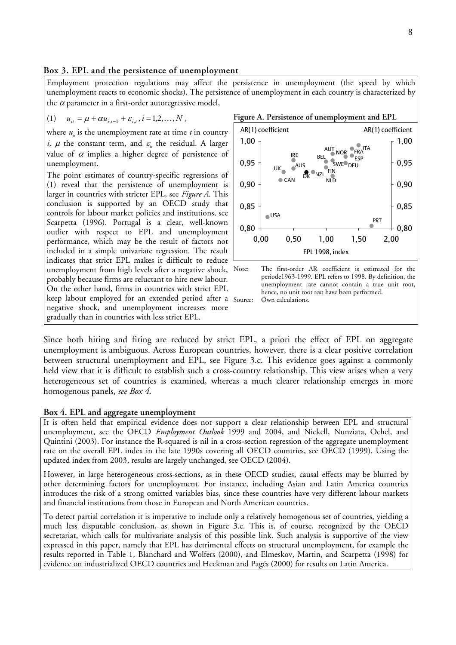#### **Box 3. EPL and the persistence of unemployment**

Employment protection regulations may affect the persistence in unemployment (the speed by which unemployment reacts to economic shocks). The persistence of unemployment in each country is characterized by the  $\alpha$  parameter in a first-order autoregressive model,

(1) 
$$
u_{it} = \mu + \alpha u_{i,t-1} + \varepsilon_{i,t}, i = 1,2,...,N
$$
,

where  $u_i$  is the unemployment rate at time  $t$  in country *i*,  $\mu$  the constant term, and  $\varepsilon$  the residual. A larger value of  $\alpha$  implies a higher degree of persistence of unemployment.

The point estimates of country-specific regressions of (1) reveal that the persistence of unemployment is larger in countries with stricter EPL, see *Figure A*. This conclusion is supported by an OECD study that controls for labour market policies and institutions, see Scarpetta (1996). Portugal is a clear, well-known outlier with respect to EPL and unemployment performance, which may be the result of factors not included in a simple univariate regression. The result indicates that strict EPL makes it difficult to reduce unemployment from high levels after a negative shock, probably because firms are reluctant to hire new labour. On the other hand, firms in countries with strict EPL keep labour employed for an extended period after a Source: negative shock, and unemployment increases more gradually than in countries with less strict EPL.





Since both hiring and firing are reduced by strict EPL, a priori the effect of EPL on aggregate unemployment is ambiguous. Across European countries, however, there is a clear positive correlation between structural unemployment and EPL, see Figure 3.c. This evidence goes against a commonly held view that it is difficult to establish such a cross-country relationship. This view arises when a very heterogeneous set of countries is examined, whereas a much clearer relationship emerges in more homogenous panels, *see Box 4*.

#### **Box 4. EPL and aggregate unemployment**

It is often held that empirical evidence does not support a clear relationship between EPL and structural unemployment, see the OECD *Employment Outlook* 1999 and 2004, and Nickell, Nunziata, Ochel, and Quintini (2003). For instance the R-squared is nil in a cross-section regression of the aggregate unemployment rate on the overall EPL index in the late 1990s covering all OECD countries, see OECD (1999). Using the updated index from 2003, results are largely unchanged, see OECD (2004).

However, in large heterogeneous cross-sections, as in these OECD studies, causal effects may be blurred by other determining factors for unemployment. For instance, including Asian and Latin America countries introduces the risk of a strong omitted variables bias, since these countries have very different labour markets and financial institutions from those in European and North American countries.

To detect partial correlation it is imperative to include only a relatively homogenous set of countries, yielding a much less disputable conclusion, as shown in Figure 3.c. This is, of course, recognized by the OECD secretariat, which calls for multivariate analysis of this possible link. Such analysis is supportive of the view expressed in this paper, namely that EPL has detrimental effects on structural unemployment, for example the results reported in Table 1, Blanchard and Wolfers (2000), and Elmeskov, Martin, and Scarpetta (1998) for evidence on industrialized OECD countries and Heckman and Pagés (2000) for results on Latin America.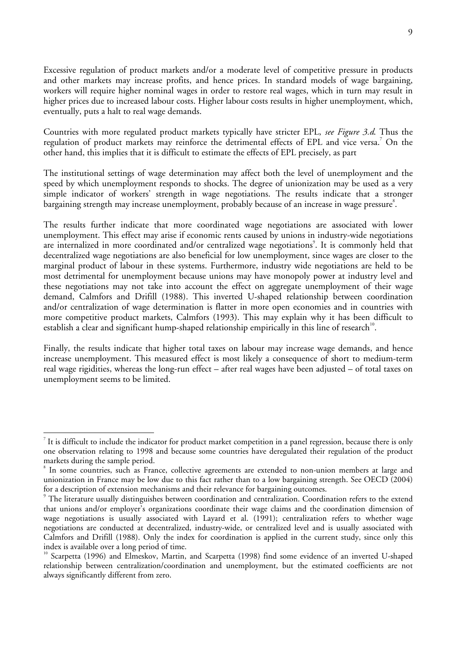Excessive regulation of product markets and/or a moderate level of competitive pressure in products and other markets may increase profits, and hence prices. In standard models of wage bargaining, workers will require higher nominal wages in order to restore real wages, which in turn may result in higher prices due to increased labour costs. Higher labour costs results in higher unemployment, which, eventually, puts a halt to real wage demands.

Countries with more regulated product markets typically have stricter EPL, *see Figure 3.d*. Thus the regulationof product markets may reinforce the detrimental effects of EPL and vice versa.<sup>7</sup> On the other hand, this implies that it is difficult to estimate the effects of EPL precisely, as part

The institutional settings of wage determination may affect both the level of unemployment and the speed by which unemployment responds to shocks. The degree of unionization may be used as a very simple indicator of workers' strength in wage negotiations. The results indicate that a stronger bargaining strength may increase unemployment, probably because of an increase in wage pressure<sup>8</sup>[.](#page-8-1)

The results further indicate that more coordinated wage negotiations are associated with lower unemployment. This effect may arise if economic rents caused by unions in industry-wide negotiations are internalized in more coordinated and/or centralized wage negotiations<sup>9</sup>[.](#page-8-2) It is commonly held that decentralized wage negotiations are also beneficial for low unemployment, since wages are closer to the marginal product of labour in these systems. Furthermore, industry wide negotiations are held to be most detrimental for unemployment because unions may have monopoly power at industry level and these negotiations may not take into account the effect on aggregate unemployment of their wage demand, Calmfors and Drifill (1988). This inverted U-shaped relationship between coordination and/or centralization of wage determination is flatter in more open economies and in countries with more competitive product markets, Calmfors (1993). This may explain why it has been difficult to establish a clear and significant hump-shaped relationship empirically in this line of research<sup>10</sup>.

Finally, the results indicate that higher total taxes on labour may increase wage demands, and hence increase unemployment. This measured effect is most likely a consequence of short to medium-term real wage rigidities, whereas the long-run effect – after real wages have been adjusted – of total taxes on unemployment seems to be limited.

<span id="page-8-0"></span> $^7$  It is difficult to include the indicator for product market competition in a panel regression, because there is only one observation relating to 1998 and because some countries have deregulated their regulation of the product markets during the sample period. 8

<span id="page-8-1"></span><sup>&</sup>lt;sup>8</sup> In some countries, such as France, collective agreements are extended to non-union members at large and unionization in France may be low due to this fact rather than to a low bargaining strength. See OECD (2004) for a description of extension mechanisms and their relevance for bargaining outcomes.

<span id="page-8-2"></span><sup>&</sup>lt;sup>9</sup> The literature usually distinguishes between coordination and centralization. Coordination refers to the extend that unions and/or employer's organizations coordinate their wage claims and the coordination dimension of wage negotiations is usually associated with Layard et al. (1991); centralization refers to whether wage negotiations are conducted at decentralized, industry-wide, or centralized level and is usually associated with Calmfors and Drifill (1988). Only the index for coordination is applied in the current study, since only this index is available over a long period of time.

<span id="page-8-3"></span><sup>&</sup>lt;sup>10</sup> Scarpetta (1996) and Elmeskov, Martin, and Scarpetta (1998) find some evidence of an inverted U-shaped relationship between centralization/coordination and unemployment, but the estimated coefficients are not always significantly different from zero.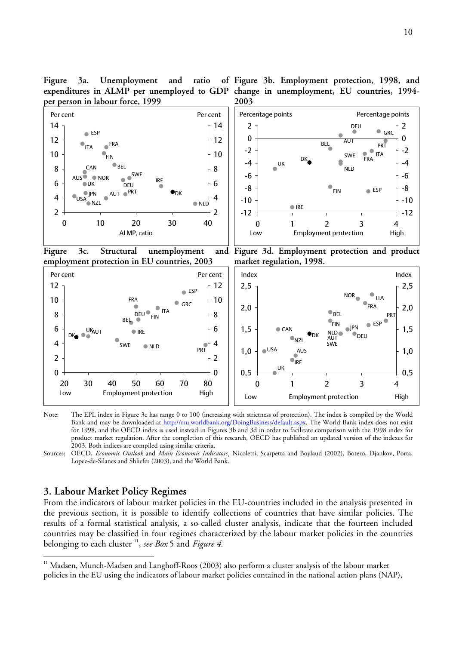<span id="page-9-0"></span>Figure 3a. Unemployment and ratio **per person in labour force, 1999** 





Note: The EPL index in Figure 3c has range 0 to 100 (increasing with strictness of protection). The index is compiled by the World Bank and may be downloaded at [http://rru.worldbank.org/DoingBusiness/default.aspx.](http://rru.worldbank.org/DoingBusiness/default.aspx) The World Bank index does not exist for 1998, and the OECD index is used instead in Figures 3b and 3d in order to facilitate comparison with the 1998 index for product market regulation. After the completion of this research, OECD has published an updated version of the indexes for 2003. Both indices are compiled using similar criteria.

Sources: OECD, *Economic Outlook* and *Main Economic Indicators*¸ Nicoletti, Scarpetta and Boylaud (2002), Botero, Djankov, Porta, Lopez-de-Silanes and Shliefer (2003), and the World Bank.

# **3. Labour Market Policy Regimes**

 $\overline{a}$ 

From the indicators of labour market policies in the EU-countries included in the analysis presented in the previous section, it is possible to identify collections of countries that have similar policies. The results of a formal statistical analysis, a so-called cluster analysis, indicate that the fourteen included countries may be classified in four regimes characterized by the labour market policies in the countries belonging to each cluster <sup>11</sup> [,](#page-9-0) *see Box* 5 and *Figure 4*.

 $11$  Madsen, Munch-Madsen and Langhoff-Roos (2003) also perform a cluster analysis of the labour market policies in the EU using the indicators of labour market policies contained in the national action plans (NAP),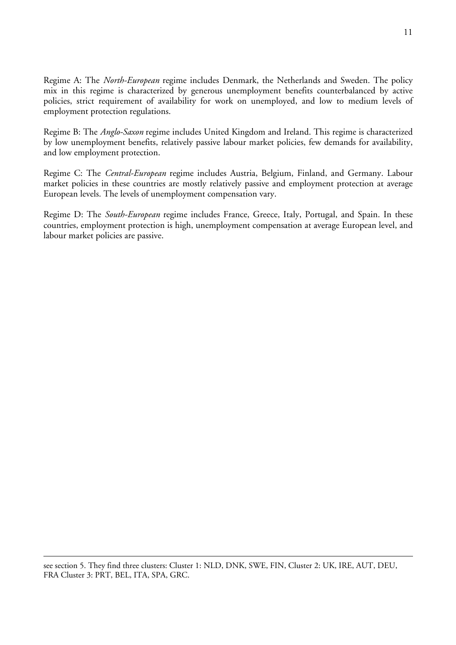Regime A: The *North-European* regime includes Denmark, the Netherlands and Sweden. The policy mix in this regime is characterized by generous unemployment benefits counterbalanced by active policies, strict requirement of availability for work on unemployed, and low to medium levels of employment protection regulations.

Regime B: The *Anglo-Saxon* regime includes United Kingdom and Ireland. This regime is characterized by low unemployment benefits, relatively passive labour market policies, few demands for availability, and low employment protection.

Regime C: The *Central-European* regime includes Austria, Belgium, Finland, and Germany. Labour market policies in these countries are mostly relatively passive and employment protection at average European levels. The levels of unemployment compensation vary.

Regime D: The *South-European* regime includes France, Greece, Italy, Portugal, and Spain. In these countries, employment protection is high, unemployment compensation at average European level, and labour market policies are passive.

see section 5. They find three clusters: Cluster 1: NLD, DNK, SWE, FIN, Cluster 2: UK, IRE, AUT, DEU, FRA Cluster 3: PRT, BEL, ITA, SPA, GRC.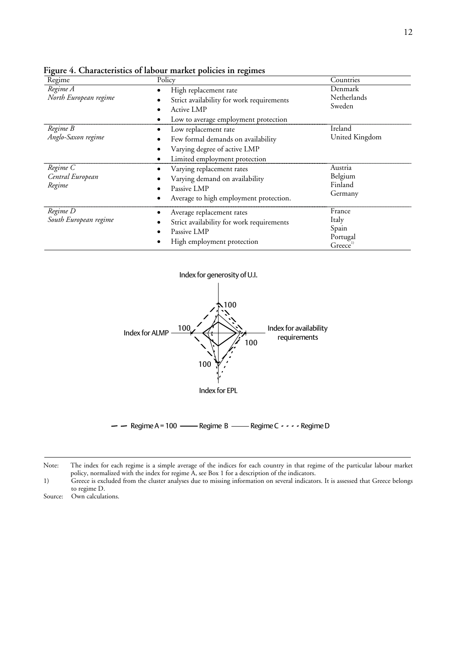| Regime                                 | Policy                                                                                                                      | Countries                                                       |
|----------------------------------------|-----------------------------------------------------------------------------------------------------------------------------|-----------------------------------------------------------------|
| Regime A<br>North European regime      | High replacement rate<br>Strict availability for work requirements<br>Active LMP<br>Low to average employment protection    | Denmark<br>Netherlands<br>Sweden                                |
| Regime B<br>Anglo-Saxon regime         | Low replacement rate<br>Few formal demands on availability<br>Varying degree of active LMP<br>Limited employment protection | Ireland<br>United Kingdom                                       |
| Regime C<br>Central European<br>Regime | Varying replacement rates<br>Varying demand on availability<br>Passive LMP<br>Average to high employment protection.        | Austria<br>Belgium<br>Finland<br>Germany                        |
| Regime D<br>South European regime      | Average replacement rates<br>Strict availability for work requirements<br>Passive LMP<br>High employment protection         | France<br>Italy<br>Spain<br>Portugal<br>$G$ reece <sup>1)</sup> |

**Figure 4. Characteristics of labour market policies in regimes** 



 $-$  Regime A = 100  $-$ Regime B  $-$ Regime C  $\cdot \cdot \cdot$  Regime D

Note: The index for each regime is a simple average of the indices for each country in that regime of the particular labour market policy, normalized with the index for regime A, see Box 1 for a description of the indicators.

1) Greece is excluded from the cluster analyses due to missing information on several indicators. It is assessed that Greece belongs to regime D.

Source: Own calculations.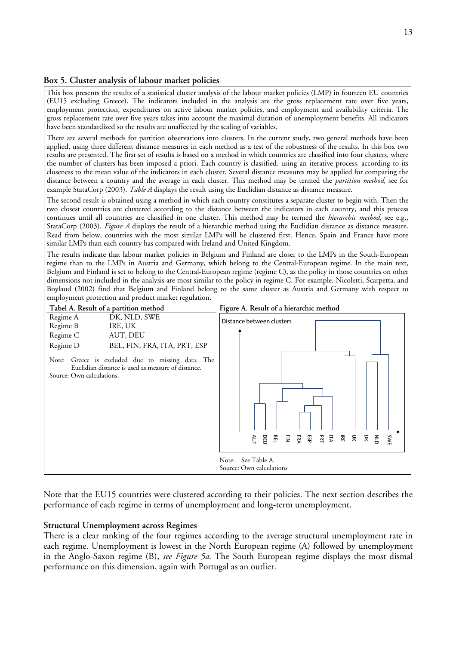### **Box 5. Cluster analysis of labour market policies**

This box presents the results of a statistical cluster analysis of the labour market policies (LMP) in fourteen EU countries (EU15 excluding Greece). The indicators included in the analysis are the gross replacement rate over five years, employment protection, expenditures on active labour market policies, and employment and availability criteria. The gross replacement rate over five years takes into account the maximal duration of unemployment benefits. All indicators have been standardized so the results are unaffected by the scaling of variables.

There are several methods for partition observations into clusters. In the current study, two general methods have been applied, using three different distance measures in each method as a test of the robustness of the results. In this box two results are presented. The first set of results is based on a method in which countries are classified into four clusters, where the number of clusters has been imposed a priori. Each country is classified, using an iterative process, according to its closeness to the mean value of the indicators in each cluster. Several distance measures may be applied for comparing the distance between a country and the average in each cluster. This method may be termed the *partition method*, see for example StataCorp (2003). *Table A* displays the result using the Euclidian distance as distance measure.

The second result is obtained using a method in which each country constitutes a separate cluster to begin with. Then the two closest countries are clustered according to the distance between the indicators in each country, and this process continues until all countries are classified in one cluster. This method may be termed the *hierarchic method*, see e.g., StataCorp (2003). *Figure A* displays the result of a hierarchic method using the Euclidian distance as distance measure. Read from below, countries with the most similar LMPs will be clustered first. Hence, Spain and France have more similar LMPs than each country has compared with Ireland and United Kingdom.

The results indicate that labour market policies in Belgium and Finland are closer to the LMPs in the South-European regime than to the LMPs in Austria and Germany, which belong to the Central-European regime. In the main text, Belgium and Finland is set to belong to the Central-European regime (regime C), as the policy in those countries on other dimensions not included in the analysis are most similar to the policy in regime C. For example, Nicoletti, Scarpetta, and Boylaud (2002) find that Belgium and Finland belong to the same cluster as Austria and Germany with respect to employment protection and product market regulation.



Note that the EU15 countries were clustered according to their policies. The next section describes the performance of each regime in terms of unemployment and long-term unemployment.

### **Structural Unemployment across Regimes**

There is a clear ranking of the four regimes according to the average structural unemployment rate in each regime. Unemployment is lowest in the North European regime (A) followed by unemployment in the Anglo-Saxon regime (B), *see Figure 5a*. The South European regime displays the most dismal performance on this dimension, again with Portugal as an outlier.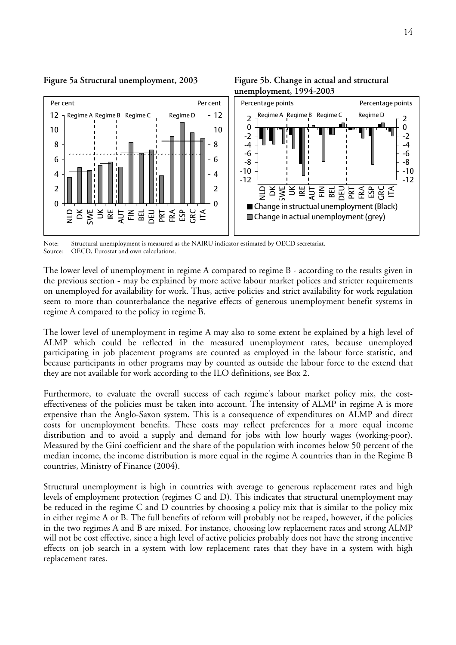



Note: Structural unemployment is measured as the NAIRU indicator estimated by OECD secretariat. Source: OECD, Eurostat and own calculations.

The lower level of unemployment in regime A compared to regime B - according to the results given in the previous section - may be explained by more active labour market polices and stricter requirements on unemployed for availability for work. Thus, active policies and strict availability for work regulation seem to more than counterbalance the negative effects of generous unemployment benefit systems in regime A compared to the policy in regime B.

The lower level of unemployment in regime A may also to some extent be explained by a high level of ALMP which could be reflected in the measured unemployment rates, because unemployed participating in job placement programs are counted as employed in the labour force statistic, and because participants in other programs may by counted as outside the labour force to the extend that they are not available for work according to the ILO definitions, see Box 2.

Furthermore, to evaluate the overall success of each regime's labour market policy mix, the costeffectiveness of the policies must be taken into account. The intensity of ALMP in regime A is more expensive than the Anglo-Saxon system. This is a consequence of expenditures on ALMP and direct costs for unemployment benefits. These costs may reflect preferences for a more equal income distribution and to avoid a supply and demand for jobs with low hourly wages (working-poor). Measured by the Gini coefficient and the share of the population with incomes below 50 percent of the median income, the income distribution is more equal in the regime A countries than in the Regime B countries, Ministry of Finance (2004).

Structural unemployment is high in countries with average to generous replacement rates and high levels of employment protection (regimes C and D). This indicates that structural unemployment may be reduced in the regime C and D countries by choosing a policy mix that is similar to the policy mix in either regime A or B. The full benefits of reform will probably not be reaped, however, if the policies in the two regimes A and B are mixed. For instance, choosing low replacement rates and strong ALMP will not be cost effective, since a high level of active policies probably does not have the strong incentive effects on job search in a system with low replacement rates that they have in a system with high replacement rates.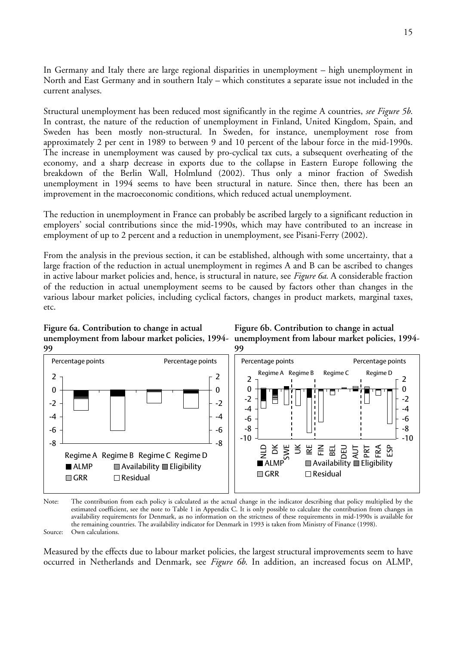In Germany and Italy there are large regional disparities in unemployment – high unemployment in North and East Germany and in southern Italy – which constitutes a separate issue not included in the current analyses.

Structural unemployment has been reduced most significantly in the regime A countries, *see Figure 5b*. In contrast, the nature of the reduction of unemployment in Finland, United Kingdom, Spain, and Sweden has been mostly non-structural. In Sweden, for instance, unemployment rose from approximately 2 per cent in 1989 to between 9 and 10 percent of the labour force in the mid-1990s. The increase in unemployment was caused by pro-cyclical tax cuts, a subsequent overheating of the economy, and a sharp decrease in exports due to the collapse in Eastern Europe following the breakdown of the Berlin Wall, Holmlund (2002). Thus only a minor fraction of Swedish unemployment in 1994 seems to have been structural in nature. Since then, there has been an improvement in the macroeconomic conditions, which reduced actual unemployment.

The reduction in unemployment in France can probably be ascribed largely to a significant reduction in employers' social contributions since the mid-1990s, which may have contributed to an increase in employment of up to 2 percent and a reduction in unemployment, see Pisani-Ferry (2002).

From the analysis in the previous section, it can be established, although with some uncertainty, that a large fraction of the reduction in actual unemployment in regimes A and B can be ascribed to changes in active labour market policies and, hence, is structural in nature, see *Figure 6a*. A considerable fraction of the reduction in actual unemployment seems to be caused by factors other than changes in the various labour market policies, including cyclical factors, changes in product markets, marginal taxes, etc.







Note: The contribution from each policy is calculated as the actual change in the indicator describing that policy multiplied by the estimated coefficient, see the note to Table 1 in Appendix C. It is only possible to calculate the contribution from changes in availability requirements for Denmark, as no information on the strictness of these requirements in mid-1990s is available for the remaining countries. The availability indicator for Denmark in 1993 is taken from Ministry of Finance (1998). Source: Own calculations.

Measured by the effects due to labour market policies, the largest structural improvements seem to have occurred in Netherlands and Denmark, see *Figure 6b*. In addition, an increased focus on ALMP,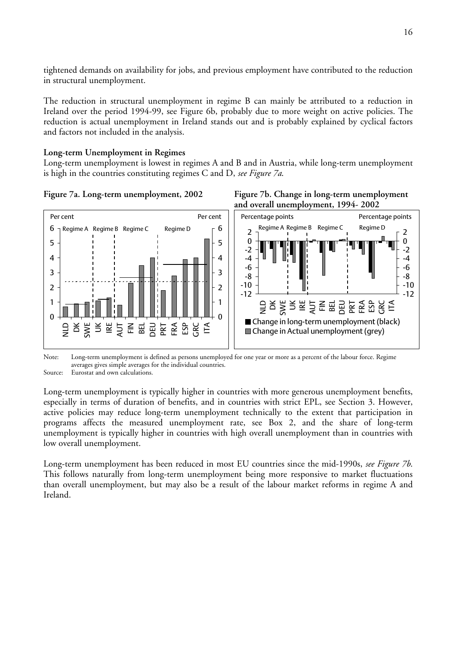tightened demands on availability for jobs, and previous employment have contributed to the reduction in structural unemployment.

The reduction in structural unemployment in regime B can mainly be attributed to a reduction in Ireland over the period 1994-99, see Figure 6b, probably due to more weight on active policies. The reduction is actual unemployment in Ireland stands out and is probably explained by cyclical factors and factors not included in the analysis.

# **Long-term Unemployment in Regimes**

Long-term unemployment is lowest in regimes A and B and in Austria, while long-term unemployment is high in the countries constituting regimes C and D, *see Figure 7a*.







Note: Long-term unemployment is defined as persons unemployed for one year or more as a percent of the labour force. Regime averages gives simple averages for the individual countries.

Source: Eurostat and own calculations.

Long-term unemployment is typically higher in countries with more generous unemployment benefits, especially in terms of duration of benefits, and in countries with strict EPL, see Section 3. However, active policies may reduce long-term unemployment technically to the extent that participation in programs affects the measured unemployment rate, see Box 2, and the share of long-term unemployment is typically higher in countries with high overall unemployment than in countries with low overall unemployment.

Long-term unemployment has been reduced in most EU countries since the mid-1990s, *see Figure 7b*. This follows naturally from long-term unemployment being more responsive to market fluctuations than overall unemployment, but may also be a result of the labour market reforms in regime A and Ireland.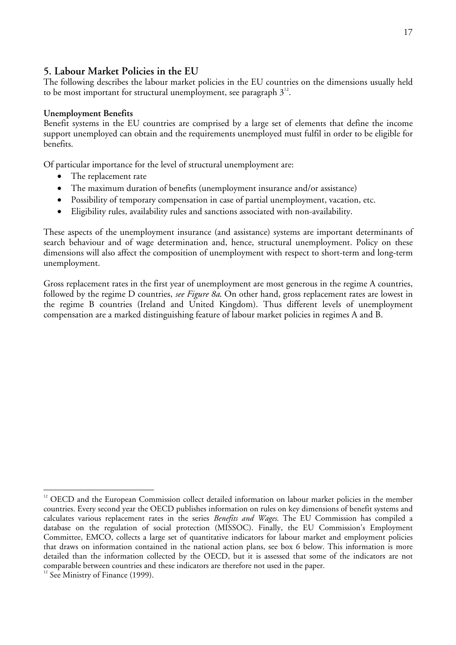# **5. Labour Market Policies in the EU**

The following describes the labour market policies in the EU countries on the dimensions usually held to be most important for structural unemployment, see paragraph  $3^{12}$  $3^{12}$  $3^{12}$ .

# **Unemployment Benefits**

Benefit systems in the EU countries are comprised by a large set of elements that define the income support unemployed can obtain and the requirements unemployed must fulfil in order to be eligible for benefits.

Of particular importance for the level of structural unemployment are:

- The replacement rate
- The maximum duration of benefits (unemployment insurance and/or assistance)
- Possibility of temporary compensation in case of partial unemployment, vacation, etc.
- Eligibility rules, availability rules and sanctions associated with non-availability.

These aspects of the unemployment insurance (and assistance) systems are important determinants of search behaviour and of wage determination and, hence, structural unemployment. Policy on these dimensions will also affect the composition of unemployment with respect to short-term and long-term unemployment.

Gross replacement rates in the first year of unemployment are most generous in the regime A countries, followed by the regime D countries, *see Figure 8a*. On other hand, gross replacement rates are lowest in the regime B countries (Ireland and United Kingdom). Thus different levels of unemployment compensation are a marked distinguishing feature of labour market policies in regimes A and B.

<span id="page-16-0"></span><sup>&</sup>lt;sup>12</sup> OECD and the European Commission collect detailed information on labour market policies in the member countries. Every second year the OECD publishes information on rules on key dimensions of benefit systems and calculates various replacement rates in the series *Benefits and Wages*. The EU Commission has compiled a database on the regulation of social protection (MISSOC). Finally, the EU Commission's Employment Committee, EMCO, collects a large set of quantitative indicators for labour market and employment policies that draws on information contained in the national action plans, see box 6 below. This information is more detailed than the information collected by the OECD, but it is assessed that some of the indicators are not comparable between countries and these indicators are therefore not used in the paper. 12 See Ministry of Finance (1999).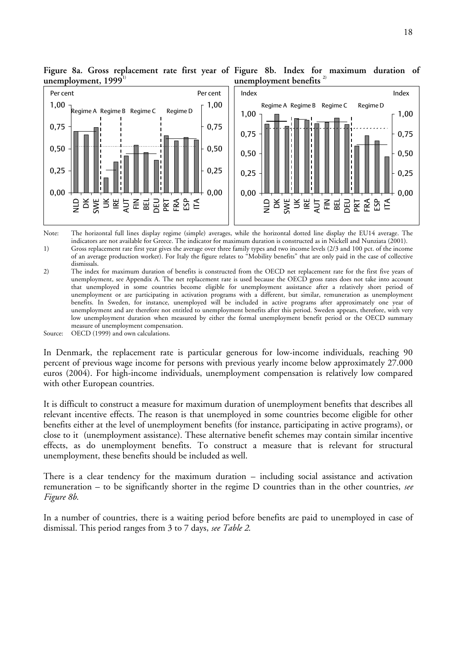

**Figure 8a. Gross replacement rate first year of Figure 8b. Index for maximum duration of**  unemployment, 1999<sup>1)</sup> **unemployment benefits 2)**

Note: The horizontal full lines display regime (simple) averages, while the horizontal dotted line display the EU14 average. The indicators are not available for Greece. The indicator for maximum duration is constructed as in Nickell and Nunziata (2001). 1) Gross replacement rate first year gives the average over three family types and two income levels (2/3 and 100 pct. of the income of an average production worker). For Italy the figure relates to "Mobility benefits" that are only paid in the case of collective dismissals.

2) The index for maximum duration of benefits is constructed from the OECD net replacement rate for the first five years of unemployment, see Appendix A. The net replacement rate is used because the OECD gross rates does not take into account that unemployed in some countries become eligible for unemployment assistance after a relatively short period of unemployment or are participating in activation programs with a different, but similar, remuneration as unemployment benefits. In Sweden, for instance, unemployed will be included in active programs after approximately one year of unemployment and are therefore not entitled to unemployment benefits after this period. Sweden appears, therefore, with very low unemployment duration when measured by either the formal unemployment benefit period or the OECD summary measure of unemployment compensation.

Source: OECD (1999) and own calculations.

In Denmark, the replacement rate is particular generous for low-income individuals, reaching 90 percent of previous wage income for persons with previous yearly income below approximately 27.000 euros (2004). For high-income individuals, unemployment compensation is relatively low compared with other European countries.

It is difficult to construct a measure for maximum duration of unemployment benefits that describes all relevant incentive effects. The reason is that unemployed in some countries become eligible for other benefits either at the level of unemployment benefits (for instance, participating in active programs), or close to it (unemployment assistance). These alternative benefit schemes may contain similar incentive effects, as do unemployment benefits. To construct a measure that is relevant for structural unemployment, these benefits should be included as well.

There is a clear tendency for the maximum duration – including social assistance and activation remuneration – to be significantly shorter in the regime D countries than in the other countries, *see Figure 8b*.

In a number of countries, there is a waiting period before benefits are paid to unemployed in case of dismissal. This period ranges from 3 to 7 days, *see Table 2*.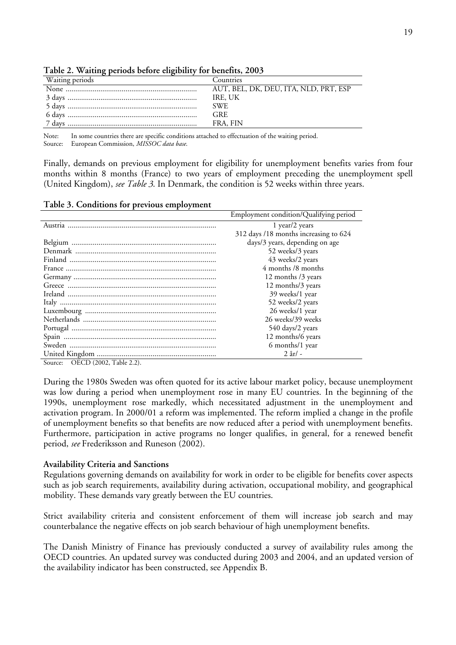| ٠        | ٠                      |
|----------|------------------------|
| ٠<br>- - | w<br>٦<br>r<br>۰,<br>٧ |

| Waiting periods | <b>Countries</b>                      |  |  |  |  |
|-----------------|---------------------------------------|--|--|--|--|
|                 | AUT, BEL, DK, DEU, ITA, NLD, PRT, ESP |  |  |  |  |
|                 | IRE, UK                               |  |  |  |  |
|                 | SWE.                                  |  |  |  |  |
|                 | <b>GRE</b>                            |  |  |  |  |
| 7 days          | FRA, FIN                              |  |  |  |  |

**Table 2. Waiting periods before eligibility for benefits, 2003** 

Note: In some countries there are specific conditions attached to effectuation of the waiting period.

Source: European Commission, *MISSOC data base*.

Finally, demands on previous employment for eligibility for unemployment benefits varies from four months within 8 months (France) to two years of employment preceding the unemployment spell (United Kingdom), *see Table 3*. In Denmark, the condition is 52 weeks within three years.

### **Table 3. Conditions for previous employment**

| Employment condition/Qualifying period |
|----------------------------------------|
| 1 year/2 years                         |
| 312 days /18 months increasing to 624  |
| days/3 years, depending on age         |
| 52 weeks/3 years                       |
| 43 weeks/2 years                       |
| 4 months /8 months                     |
| 12 months /3 years                     |
| 12 months/3 years                      |
| 39 weeks/1 year                        |
| 52 weeks/2 years                       |
| 26 weeks/1 year                        |
| 26 weeks/39 weeks                      |
| 540 days/2 years                       |
| 12 months/6 years                      |
| 6 months/1 year                        |
| $2$ år $/$ -                           |

Source: OECD (2002, Table 2.2).

During the 1980s Sweden was often quoted for its active labour market policy, because unemployment was low during a period when unemployment rose in many EU countries. In the beginning of the 1990s, unemployment rose markedly, which necessitated adjustment in the unemployment and activation program. In 2000/01 a reform was implemented. The reform implied a change in the profile of unemployment benefits so that benefits are now reduced after a period with unemployment benefits. Furthermore, participation in active programs no longer qualifies, in general, for a renewed benefit period, *see* Frederiksson and Runeson (2002).

## **Availability Criteria and Sanctions**

Regulations governing demands on availability for work in order to be eligible for benefits cover aspects such as job search requirements, availability during activation, occupational mobility, and geographical mobility. These demands vary greatly between the EU countries.

Strict availability criteria and consistent enforcement of them will increase job search and may counterbalance the negative effects on job search behaviour of high unemployment benefits.

The Danish Ministry of Finance has previously conducted a survey of availability rules among the OECD countries. An updated survey was conducted during 2003 and 2004, and an updated version of the availability indicator has been constructed, see Appendix B.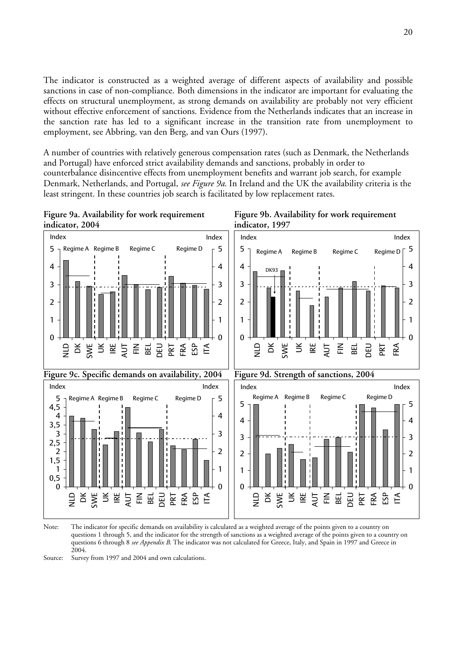The indicator is constructed as a weighted average of different aspects of availability and possible sanctions in case of non-compliance. Both dimensions in the indicator are important for evaluating the effects on structural unemployment, as strong demands on availability are probably not very efficient without effective enforcement of sanctions. Evidence from the Netherlands indicates that an increase in the sanction rate has led to a significant increase in the transition rate from unemployment to employment, see Abbring, van den Berg, and van Ours (1997).

A number of countries with relatively generous compensation rates (such as Denmark, the Netherlands and Portugal) have enforced strict availability demands and sanctions, probably in order to counterbalance disincentive effects from unemployment benefits and warrant job search, for example Denmark, Netherlands, and Portugal, *see Figure 9a*. In Ireland and the UK the availability criteria is the least stringent. In these countries job search is facilitated by low replacement rates.



Note: The indicator for specific demands on availability is calculated as a weighted average of the points given to a country on questions 1 through 5, and the indicator for the strength of sanctions as a weighted average of the points given to a country on questions 6 through 8 *see Appendix B*. The indicator was not calculated for Greece, Italy, and Spain in 1997 and Greece in 2004.

Source: Survey from 1997 and 2004 and own calculations.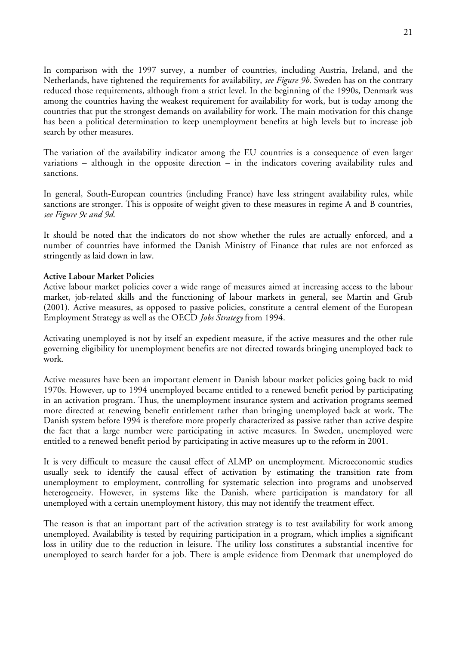In comparison with the 1997 survey, a number of countries, including Austria, Ireland, and the Netherlands, have tightened the requirements for availability, *see Figure 9b*. Sweden has on the contrary reduced those requirements, although from a strict level. In the beginning of the 1990s, Denmark was among the countries having the weakest requirement for availability for work, but is today among the countries that put the strongest demands on availability for work. The main motivation for this change has been a political determination to keep unemployment benefits at high levels but to increase job search by other measures.

The variation of the availability indicator among the EU countries is a consequence of even larger variations – although in the opposite direction – in the indicators covering availability rules and sanctions.

In general, South-European countries (including France) have less stringent availability rules, while sanctions are stronger. This is opposite of weight given to these measures in regime A and B countries, *see Figure 9c and 9d*.

It should be noted that the indicators do not show whether the rules are actually enforced, and a number of countries have informed the Danish Ministry of Finance that rules are not enforced as stringently as laid down in law.

## **Active Labour Market Policies**

Active labour market policies cover a wide range of measures aimed at increasing access to the labour market, job-related skills and the functioning of labour markets in general, see Martin and Grub (2001). Active measures, as opposed to passive policies, constitute a central element of the European Employment Strategy as well as the OECD *Jobs Strategy* from 1994.

Activating unemployed is not by itself an expedient measure, if the active measures and the other rule governing eligibility for unemployment benefits are not directed towards bringing unemployed back to work.

Active measures have been an important element in Danish labour market policies going back to mid 1970s. However, up to 1994 unemployed became entitled to a renewed benefit period by participating in an activation program. Thus, the unemployment insurance system and activation programs seemed more directed at renewing benefit entitlement rather than bringing unemployed back at work. The Danish system before 1994 is therefore more properly characterized as passive rather than active despite the fact that a large number were participating in active measures. In Sweden, unemployed were entitled to a renewed benefit period by participating in active measures up to the reform in 2001.

It is very difficult to measure the causal effect of ALMP on unemployment. Microeconomic studies usually seek to identify the causal effect of activation by estimating the transition rate from unemployment to employment, controlling for systematic selection into programs and unobserved heterogeneity. However, in systems like the Danish, where participation is mandatory for all unemployed with a certain unemployment history, this may not identify the treatment effect.

The reason is that an important part of the activation strategy is to test availability for work among unemployed. Availability is tested by requiring participation in a program, which implies a significant loss in utility due to the reduction in leisure. The utility loss constitutes a substantial incentive for unemployed to search harder for a job. There is ample evidence from Denmark that unemployed do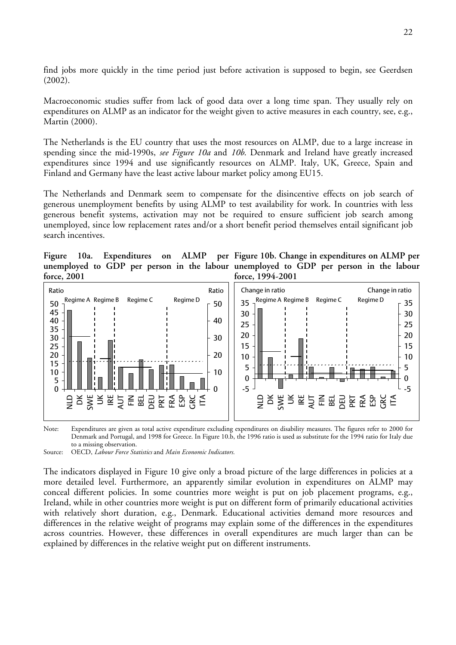find jobs more quickly in the time period just before activation is supposed to begin, see Geerdsen (2002).

Macroeconomic studies suffer from lack of good data over a long time span. They usually rely on expenditures on ALMP as an indicator for the weight given to active measures in each country, see, e.g., Martin (2000).

The Netherlands is the EU country that uses the most resources on ALMP, due to a large increase in spending since the mid-1990s, *see Figure 10a* and *10b*. Denmark and Ireland have greatly increased expenditures since 1994 and use significantly resources on ALMP. Italy, UK, Greece, Spain and Finland and Germany have the least active labour market policy among EU15.

The Netherlands and Denmark seem to compensate for the disincentive effects on job search of generous unemployment benefits by using ALMP to test availability for work. In countries with less generous benefit systems, activation may not be required to ensure sufficient job search among unemployed, since low replacement rates and/or a short benefit period themselves entail significant job search incentives.

**Figure** 10a. **Expenditures** on **force, 2001** 

**unemployed to GDP per person in the labour unemployed to GDP per person in the labour Figure 10b. Change in expenditures on ALMP per force, 1994-2001** 



Note: Expenditures are given as total active expenditure excluding expenditures on disability measures. The figures refer to 2000 for Denmark and Portugal, and 1998 for Greece. In Figure 10.b, the 1996 ratio is used as substitute for the 1994 ratio for Italy due to a missing observation.

Source: OECD, *Labour Force Statistics* and *Main Economic Indicators.*

The indicators displayed in Figure 10 give only a broad picture of the large differences in policies at a more detailed level. Furthermore, an apparently similar evolution in expenditures on ALMP may conceal different policies. In some countries more weight is put on job placement programs, e.g., Ireland, while in other countries more weight is put on different form of primarily educational activities with relatively short duration, e.g., Denmark. Educational activities demand more resources and differences in the relative weight of programs may explain some of the differences in the expenditures across countries. However, these differences in overall expenditures are much larger than can be explained by differences in the relative weight put on different instruments.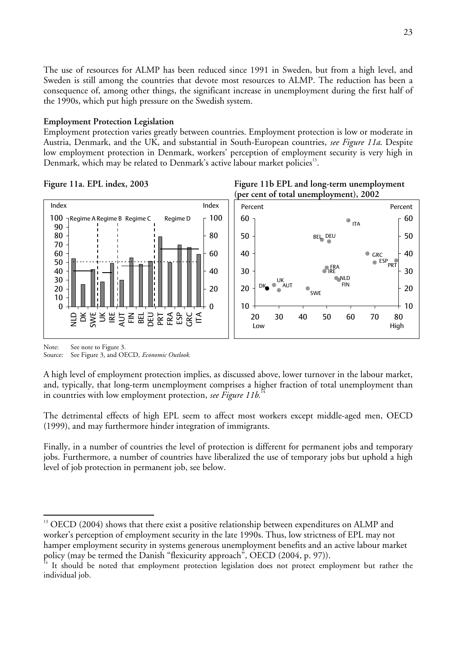The use of resources for ALMP has been reduced since 1991 in Sweden, but from a high level, and Sweden is still among the countries that devote most resources to ALMP. The reduction has been a consequence of, among other things, the significant increase in unemployment during the first half of the 1990s, which put high pressure on the Swedish system.

### **Employment Protection Legislation**

Employment protection varies greatly between countries. Employment protection is low or moderate in Austria, Denmark, and the UK, and substantial in South-European countries, *see Figure 11a*. Despite low employment protection in Denmark, workers' perception of employment security is very high in Denmark, which may be related to Denmark's active labour market policies<sup>[13](#page-22-0)</sup>.









Note: See note to Figure 3.

Source: See Figure 3, and OECD, *Economic Outlook*.

A high level of employment protection implies, as discussed above, lower turnover in the labour market, and, typically, that long-term unemployment comprises a higher fraction of total unemployment than in countries with low employment protection, *see Figure 11b*. [14](#page-22-1) 

The detrimental effects of high EPL seem to affect most workers except middle-aged men, OECD (1999), and may furthermore hinder integration of immigrants.

Finally, in a number of countries the level of protection is different for permanent jobs and temporary jobs. Furthermore, a number of countries have liberalized the use of temporary jobs but uphold a high level of job protection in permanent job, see below.

<span id="page-22-0"></span> $\overline{a}$ <sup>13</sup> OECD (2004) shows that there exist a positive relationship between expenditures on ALMP and worker's perception of employment security in the late 1990s. Thus, low strictness of EPL may not hamper employment security in systems generous unemployment benefits and an active labour market policy (may be termed the Danish "flexicurity approach", OECD (2004, p. 97)).<br><sup>14</sup> It should be noted that employment protection legislation does not protect employment but rather the

<span id="page-22-1"></span>individual job.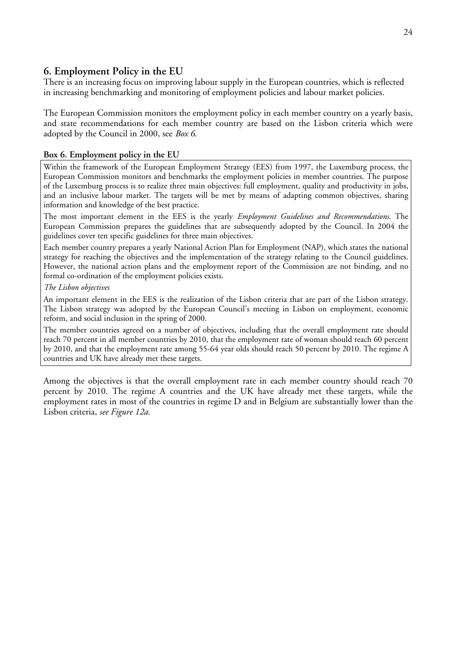# **6. Employment Policy in the EU**

There is an increasing focus on improving labour supply in the European countries, which is reflected in increasing benchmarking and monitoring of employment policies and labour market policies.

The European Commission monitors the employment policy in each member country on a yearly basis, and state recommendations for each member country are based on the Lisbon criteria which were adopted by the Council in 2000, see *Box 6*.

# **Box 6. Employment policy in the EU**

Within the framework of the European Employment Strategy (EES) from 1997, the Luxemburg process, the European Commission monitors and benchmarks the employment policies in member countries. The purpose of the Luxemburg process is to realize three main objectives: full employment, quality and productivity in jobs, and an inclusive labour market. The targets will be met by means of adapting common objectives, sharing information and knowledge of the best practice.

The most important element in the EES is the yearly *Employment Guidelines and Recommendations*. The European Commission prepares the guidelines that are subsequently adopted by the Council. In 2004 the guidelines cover ten specific guidelines for three main objectives.

Each member country prepares a yearly National Action Plan for Employment (NAP), which states the national strategy for reaching the objectives and the implementation of the strategy relating to the Council guidelines. However, the national action plans and the employment report of the Commission are not binding, and no formal co-ordination of the employment policies exists.

*The Lisbon objectives* 

An important element in the EES is the realization of the Lisbon criteria that are part of the Lisbon strategy. The Lisbon strategy was adopted by the European Council's meeting in Lisbon on employment, economic reform, and social inclusion in the spring of 2000.

The member countries agreed on a number of objectives, including that the overall employment rate should reach 70 percent in all member countries by 2010, that the employment rate of woman should reach 60 percent by 2010, and that the employment rate among 55-64 year olds should reach 50 percent by 2010. The regime A countries and UK have already met these targets.

Among the objectives is that the overall employment rate in each member country should reach 70 percent by 2010. The regime A countries and the UK have already met these targets, while the employment rates in most of the countries in regime D and in Belgium are substantially lower than the Lisbon criteria, *see Figure 12a*.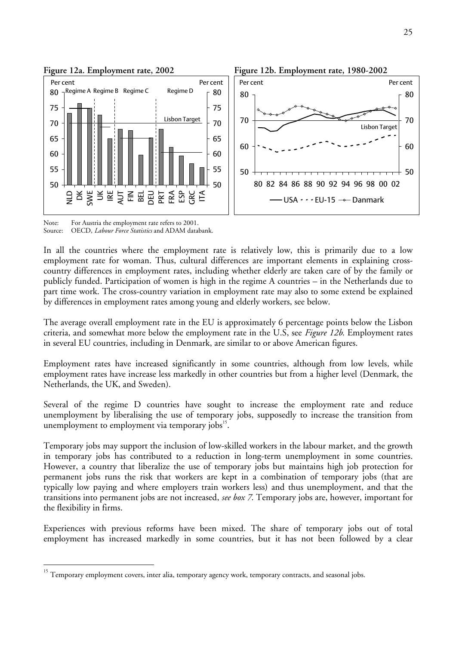

Note: For Austria the employment rate refers to 2001. Source: OECD, *Labour Force Statistics* and ADAM databank.

 $\overline{a}$ 

In all the countries where the employment rate is relatively low, this is primarily due to a low employment rate for woman. Thus, cultural differences are important elements in explaining crosscountry differences in employment rates, including whether elderly are taken care of by the family or publicly funded. Participation of women is high in the regime A countries – in the Netherlands due to part time work. The cross-country variation in employment rate may also to some extend be explained by differences in employment rates among young and elderly workers, see below.

The average overall employment rate in the EU is approximately 6 percentage points below the Lisbon criteria, and somewhat more below the employment rate in the U.S, see *Figure 12b*. Employment rates in several EU countries, including in Denmark, are similar to or above American figures.

Employment rates have increased significantly in some countries, although from low levels, while employment rates have increase less markedly in other countries but from a higher level (Denmark, the Netherlands, the UK, and Sweden).

Several of the regime D countries have sought to increase the employment rate and reduce unemployment by liberalising the use of temporary jobs, supposedly to increase the transition from unemployment to employment via temporary jobs<sup>15</sup>.

Temporary jobs may support the inclusion of low-skilled workers in the labour market, and the growth in temporary jobs has contributed to a reduction in long-term unemployment in some countries. However, a country that liberalize the use of temporary jobs but maintains high job protection for permanent jobs runs the risk that workers are kept in a combination of temporary jobs (that are typically low paying and where employers train workers less) and thus unemployment, and that the transitions into permanent jobs are not increased, *see box 7*. Temporary jobs are, however, important for the flexibility in firms.

Experiences with previous reforms have been mixed. The share of temporary jobs out of total employment has increased markedly in some countries, but it has not been followed by a clear

<span id="page-24-0"></span><sup>15</sup> Temporary employment covers, inter alia, temporary agency work, temporary contracts, and seasonal jobs.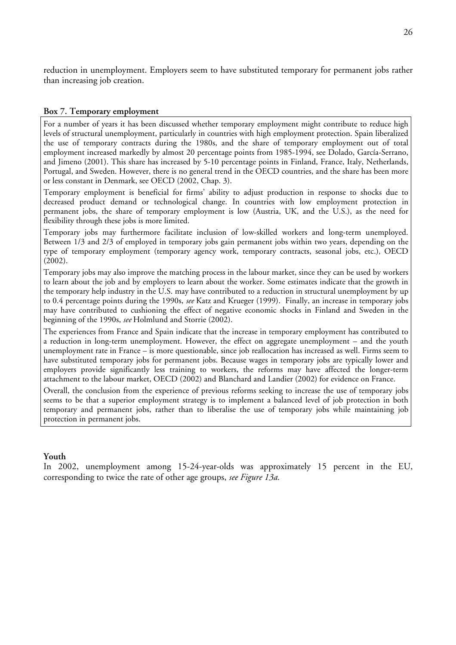reduction in unemployment. Employers seem to have substituted temporary for permanent jobs rather than increasing job creation.

### **Box 7. Temporary employment**

For a number of years it has been discussed whether temporary employment might contribute to reduce high levels of structural unemployment, particularly in countries with high employment protection. Spain liberalized the use of temporary contracts during the 1980s, and the share of temporary employment out of total employment increased markedly by almost 20 percentage points from 1985-1994, see Dolado, García-Serrano, and Jimeno (2001). This share has increased by 5-10 percentage points in Finland, France, Italy, Netherlands, Portugal, and Sweden. However, there is no general trend in the OECD countries, and the share has been more or less constant in Denmark, see OECD (2002, Chap. 3).

Temporary employment is beneficial for firms' ability to adjust production in response to shocks due to decreased product demand or technological change. In countries with low employment protection in permanent jobs, the share of temporary employment is low (Austria, UK, and the U.S.), as the need for flexibility through these jobs is more limited.

Temporary jobs may furthermore facilitate inclusion of low-skilled workers and long-term unemployed. Between 1/3 and 2/3 of employed in temporary jobs gain permanent jobs within two years, depending on the type of temporary employment (temporary agency work, temporary contracts, seasonal jobs, etc.), OECD (2002).

Temporary jobs may also improve the matching process in the labour market, since they can be used by workers to learn about the job and by employers to learn about the worker. Some estimates indicate that the growth in the temporary help industry in the U.S. may have contributed to a reduction in structural unemployment by up to 0.4 percentage points during the 1990s, *see* Katz and Krueger (1999). Finally, an increase in temporary jobs may have contributed to cushioning the effect of negative economic shocks in Finland and Sweden in the beginning of the 1990s, *see* Holmlund and Storrie (2002).

The experiences from France and Spain indicate that the increase in temporary employment has contributed to a reduction in long-term unemployment. However, the effect on aggregate unemployment – and the youth unemployment rate in France – is more questionable, since job reallocation has increased as well. Firms seem to have substituted temporary jobs for permanent jobs. Because wages in temporary jobs are typically lower and employers provide significantly less training to workers, the reforms may have affected the longer-term attachment to the labour market, OECD (2002) and Blanchard and Landier (2002) for evidence on France.

Overall, the conclusion from the experience of previous reforms seeking to increase the use of temporary jobs seems to be that a superior employment strategy is to implement a balanced level of job protection in both temporary and permanent jobs, rather than to liberalise the use of temporary jobs while maintaining job protection in permanent jobs.

### **Youth**

In 2002, unemployment among 15-24-year-olds was approximately 15 percent in the EU, corresponding to twice the rate of other age groups, *see Figure 13a*.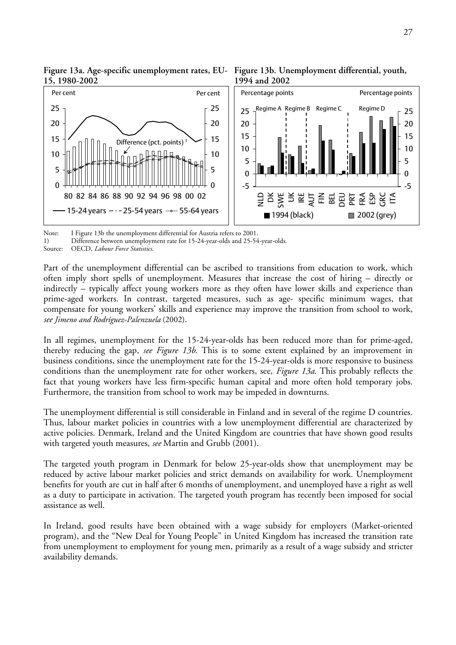

Figure 13a. Age-specific unemployment rates, EU- Figure 13b. Unemployment differential, youth, **15, 1980-2002** 

Note: I Figure 13b the unemployment differential for Austria refers to 2001.

1) Difference between unemployment rate for 15-24-year-olds and 25-54-year-olds.

Source: OECD, *Labour Force Statistics*.

Part of the unemployment differential can be ascribed to transitions from education to work, which often imply short spells of unemployment. Measures that increase the cost of hiring – directly or indirectly – typically affect young workers more as they often have lower skills and experience than prime-aged workers. In contrast, targeted measures, such as age- specific minimum wages, that compensate for young workers' skills and experience may improve the transition from school to work, *see Jimeno and Rodríguez-Palenzuela* (2002).

In all regimes, unemployment for the 15-24-year-olds has been reduced more than for prime-aged, thereby reducing the gap, *see Figure 13b*. This is to some extent explained by an improvement in business conditions, since the unemployment rate for the 15-24-year-olds is more responsive to business conditions than the unemployment rate for other workers, see, *Figure 13a*. This probably reflects the fact that young workers have less firm-specific human capital and more often hold temporary jobs. Furthermore, the transition from school to work may be impeded in downturns.

The unemployment differential is still considerable in Finland and in several of the regime D countries. Thus, labour market policies in countries with a low unemployment differential are characterized by active policies. Denmark, Ireland and the United Kingdom are countries that have shown good results with targeted youth measures, *see* Martin and Grubb (2001).

The targeted youth program in Denmark for below 25-year-olds show that unemployment may be reduced by active labour market policies and strict demands on availability for work. Unemployment benefits for youth are cut in half after 6 months of unemployment, and unemployed have a right as well as a duty to participate in activation. The targeted youth program has recently been imposed for social assistance as well.

In Ireland, good results have been obtained with a wage subsidy for employers (Market-oriented program), and the "New Deal for Young People" in United Kingdom has increased the transition rate from unemployment to employment for young men, primarily as a result of a wage subsidy and stricter availability demands.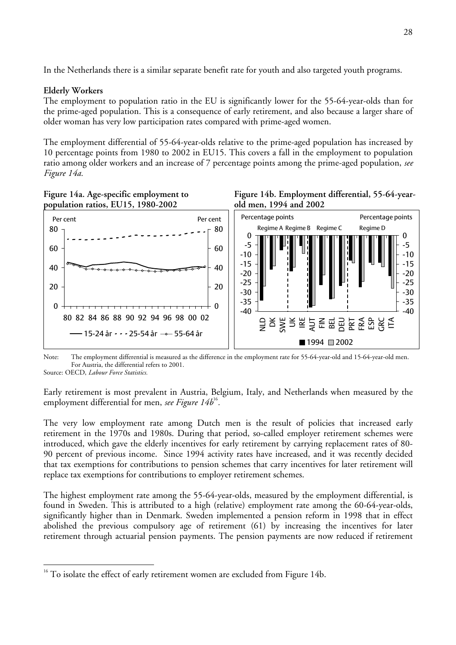In the Netherlands there is a similar separate benefit rate for youth and also targeted youth programs.

## **Elderly Workers**

The employment to population ratio in the EU is significantly lower for the 55-64-year-olds than for the prime-aged population. This is a consequence of early retirement, and also because a larger share of older woman has very low participation rates compared with prime-aged women.

The employment differential of 55-64-year-olds relative to the prime-aged population has increased by 10 percentage points from 1980 to 2002 in EU15. This covers a fall in the employment to population ratio among older workers and an increase of 7 percentage points among the prime-aged population, *see Figure 14a.*







Note: The employment differential is measured as the difference in the employment rate for 55-64-year-old and 15-64-year-old men. For Austria, the differential refers to 2001.

Source: OECD, *Labour Force Statistics.*

 $\overline{a}$ 

Early retirement is most prevalent in Austria, Belgium, Italy, and Netherlands when measured by the employment differential for men, *see Figure 14b*<sup>[16](#page-27-0)</sup>*.* 

The very low employment rate among Dutch men is the result of policies that increased early retirement in the 1970s and 1980s. During that period, so-called employer retirement schemes were introduced, which gave the elderly incentives for early retirement by carrying replacement rates of 80- 90 percent of previous income. Since 1994 activity rates have increased, and it was recently decided that tax exemptions for contributions to pension schemes that carry incentives for later retirement will replace tax exemptions for contributions to employer retirement schemes.

The highest employment rate among the 55-64-year-olds, measured by the employment differential, is found in Sweden. This is attributed to a high (relative) employment rate among the 60-64-year-olds, significantly higher than in Denmark. Sweden implemented a pension reform in 1998 that in effect abolished the previous compulsory age of retirement (61) by increasing the incentives for later retirement through actuarial pension payments. The pension payments are now reduced if retirement

<span id="page-27-0"></span><sup>16</sup> To isolate the effect of early retirement women are excluded from Figure 14b.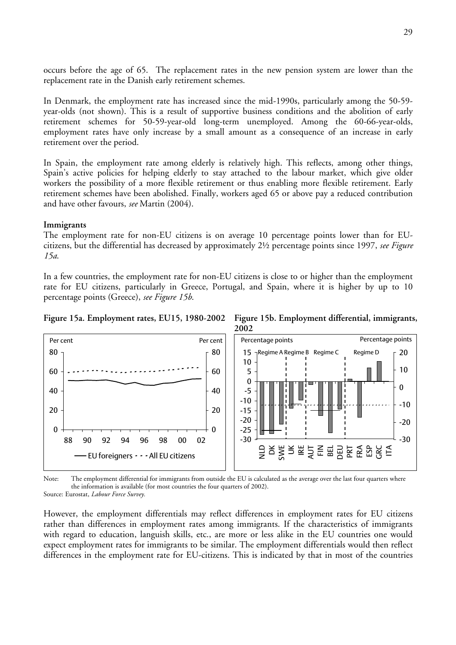occurs before the age of 65. The replacement rates in the new pension system are lower than the replacement rate in the Danish early retirement schemes.

In Denmark, the employment rate has increased since the mid-1990s, particularly among the 50-59 year-olds (not shown). This is a result of supportive business conditions and the abolition of early retirement schemes for 50-59-year-old long-term unemployed. Among the 60-66-year-olds, employment rates have only increase by a small amount as a consequence of an increase in early retirement over the period.

In Spain, the employment rate among elderly is relatively high. This reflects, among other things, Spain's active policies for helping elderly to stay attached to the labour market, which give older workers the possibility of a more flexible retirement or thus enabling more flexible retirement. Early retirement schemes have been abolished. Finally, workers aged 65 or above pay a reduced contribution and have other favours, *see* Martin (2004).

### **Immigrants**

The employment rate for non-EU citizens is on average 10 percentage points lower than for EUcitizens, but the differential has decreased by approximately 2½ percentage points since 1997, *see Figure 15a*.

In a few countries, the employment rate for non-EU citizens is close to or higher than the employment rate for EU citizens, particularly in Greece, Portugal, and Spain, where it is higher by up to 10 percentage points (Greece), *see Figure 15b*.



**Figure 15a. Employment rates, EU15, 1980-2002 Figure 15b. Employment differential, immigrants, 2002** 

Note: The employment differential for immigrants from outside the EU is calculated as the average over the last four quarters where the information is available (for most countries the four quarters of 2002).

Source: Eurostat, *Labour Force Survey.*

However, the employment differentials may reflect differences in employment rates for EU citizens rather than differences in employment rates among immigrants. If the characteristics of immigrants with regard to education, languish skills, etc., are more or less alike in the EU countries one would expect employment rates for immigrants to be similar. The employment differentials would then reflect differences in the employment rate for EU-citizens. This is indicated by that in most of the countries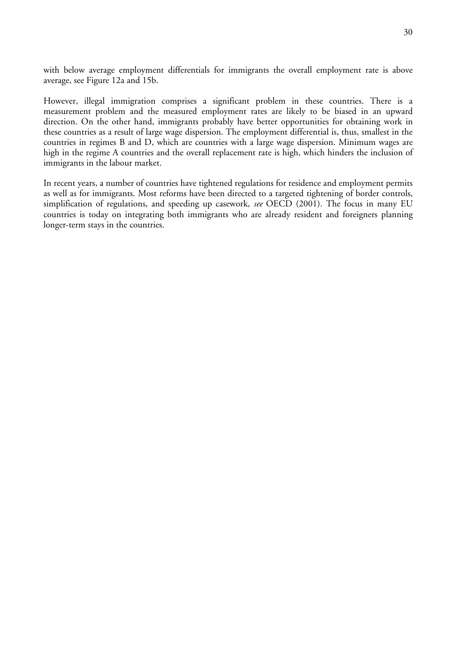with below average employment differentials for immigrants the overall employment rate is above average, see Figure 12a and 15b.

However, illegal immigration comprises a significant problem in these countries. There is a measurement problem and the measured employment rates are likely to be biased in an upward direction. On the other hand, immigrants probably have better opportunities for obtaining work in these countries as a result of large wage dispersion. The employment differential is, thus, smallest in the countries in regimes B and D, which are countries with a large wage dispersion. Minimum wages are high in the regime A countries and the overall replacement rate is high, which hinders the inclusion of immigrants in the labour market.

In recent years, a number of countries have tightened regulations for residence and employment permits as well as for immigrants. Most reforms have been directed to a targeted tightening of border controls, simplification of regulations, and speeding up casework, *see* OECD (2001). The focus in many EU countries is today on integrating both immigrants who are already resident and foreigners planning longer-term stays in the countries.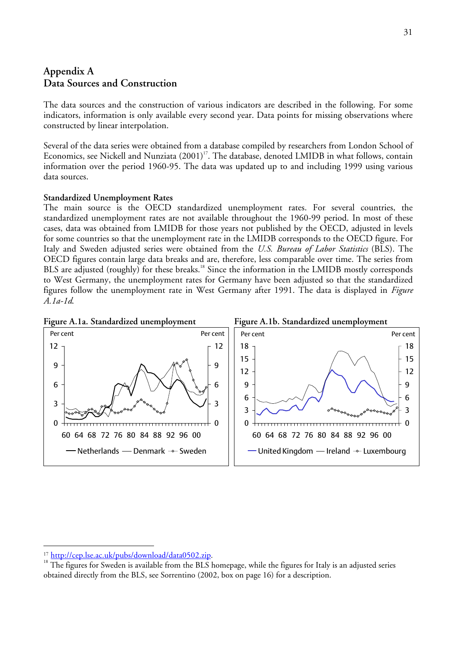# **Appendix A Data Sources and Construction**

The data sources and the construction of various indicators are described in the following. For some indicators, information is only available every second year. Data points for missing observations where constructed by linear interpolation.

Several of the data series were obtained from a database compiled by researchers from London School of Economics, see Nickell and Nunziata  $(2001)^{17}$ . The database, denoted LMIDB in what follows, contain information over the period 1960-95. The data was updated up to and including 1999 using various data sources.

### **Standardized Unemployment Rates**

The main source is the OECD standardized unemployment rates. For several countries, the standardized unemployment rates are not available throughout the 1960-99 period. In most of these cases, data was obtained from LMIDB for those years not published by the OECD, adjusted in levels for some countries so that the unemployment rate in the LMIDB corresponds to the OECD figure. For Italy and Sweden adjusted series were obtained from the *U.S. Bureau of Labor Statistics* (BLS). The OECD figures contain large data breaks and are, therefore, less comparable over time. The series from BLS are adjusted (roughly) for these breaks.<sup>18</sup> Since the information in the LMIDB mostly corresponds to West Germany, the unemployment rates for Germany have been adjusted so that the standardized figures follow the unemployment rate in West Germany after 1991. The data is displayed in *Figure A.1a-1d*.



<span id="page-30-1"></span><span id="page-30-0"></span>

<sup>&</sup>lt;sup>17</sup> <http://cep.lse.ac.uk/pubs/download/data0502.zip>.<br><sup>18</sup> The figures for Sweden is available from the BLS homepage, while the figures for Italy is an adjusted series obtained directly from the BLS, see Sorrentino (2002, box on page 16) for a description.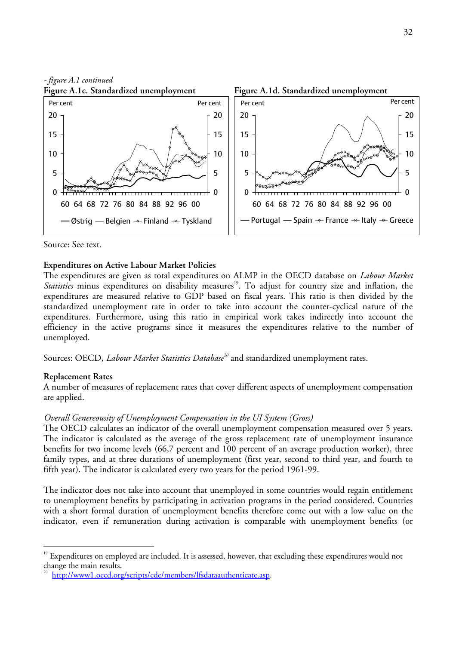

#### Source: See text.

#### **Expenditures on Active Labour Market Policies**

The expenditures are given as total expenditures on ALMP in the OECD database on *Labour Market Statistics* minus expenditures on disability measures<sup>19</sup>. To adjust for country size and inflation, the expenditures are measured relative to GDP based on fiscal years. This ratio is then divided by the standardized unemployment rate in order to take into account the counter-cyclical nature of the expenditures. Furthermore, using this ratio in empirical work takes indirectly into account the efficiency in the active programs since it measures the expenditures relative to the number of unemployed.

Sources: OECD, *Labour Market Statistics Database[20](#page-31-1)* and standardized unemployment rates.

### **Replacement Rates**

 $\overline{a}$ 

A number of measures of replacement rates that cover different aspects of unemployment compensation are applied.

### *Overall Genereousity of Unemployment Compensation in the UI System (Gross)*

The OECD calculates an indicator of the overall unemployment compensation measured over 5 years. The indicator is calculated as the average of the gross replacement rate of unemployment insurance benefits for two income levels (66,7 percent and 100 percent of an average production worker), three family types, and at three durations of unemployment (first year, second to third year, and fourth to fifth year). The indicator is calculated every two years for the period 1961-99.

The indicator does not take into account that unemployed in some countries would regain entitlement to unemployment benefits by participating in activation programs in the period considered. Countries with a short formal duration of unemployment benefits therefore come out with a low value on the indicator, even if remuneration during activation is comparable with unemployment benefits (or

<span id="page-31-0"></span><sup>&</sup>lt;sup>19</sup> Expenditures on employed are included. It is assessed, however, that excluding these expenditures would not change the main results.<br><sup>20</sup> <http://www1.oecd.org/scripts/cde/members/lfsdataauthenticate.asp>.

<span id="page-31-1"></span>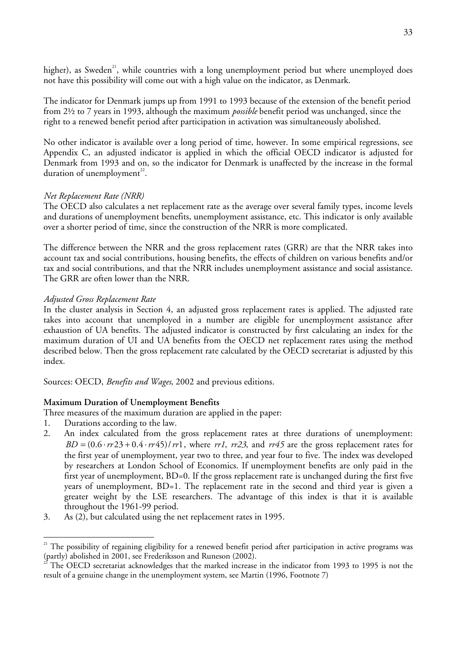higher), as Sweden<sup>21</sup>, while countries with a long unemployment period but where unemployed does not have this possibility will come out with a high value on the indicator, as Denmark.

The indicator for Denmark jumps up from 1991 to 1993 because of the extension of the benefit period from 2½ to 7 years in 1993, although the maximum *possible* benefit period was unchanged, since the right to a renewed benefit period after participation in activation was simultaneously abolished.

No other indicator is available over a long period of time, however. In some empirical regressions, see Appendix C, an adjusted indicator is applied in which the official OECD indicator is adjusted for Denmark from 1993 and on, so the indicator for Denmark is unaffected by the increase in the formal duration of unemployment $^{22}$  $^{22}$  $^{22}$ .

# *Net Replacement Rate (NRR)*

The OECD also calculates a net replacement rate as the average over several family types, income levels and durations of unemployment benefits, unemployment assistance, etc. This indicator is only available over a shorter period of time, since the construction of the NRR is more complicated.

The difference between the NRR and the gross replacement rates (GRR) are that the NRR takes into account tax and social contributions, housing benefits, the effects of children on various benefits and/or tax and social contributions, and that the NRR includes unemployment assistance and social assistance. The GRR are often lower than the NRR.

# *Adjusted Gross Replacement Rate*

In the cluster analysis in Section 4, an adjusted gross replacement rates is applied. The adjusted rate takes into account that unemployed in a number are eligible for unemployment assistance after exhaustion of UA benefits. The adjusted indicator is constructed by first calculating an index for the maximum duration of UI and UA benefits from the OECD net replacement rates using the method described below. Then the gross replacement rate calculated by the OECD secretariat is adjusted by this index.

Sources: OECD, *Benefits and Wages*, 2002 and previous editions.

# **Maximum Duration of Unemployment Benefits**

Three measures of the maximum duration are applied in the paper:

1. Durations according to the law.

- 2. An index calculated from the gross replacement rates at three durations of unemployment:  $BD = (0.6 \cdot \frac{rr23 + 0.4 \cdot \frac{rr45}{rr1}$ , where  $\frac{rr1}{r^2}$ , and  $\frac{rr45}{rr^4}$  are the gross replacement rates for the first year of unemployment, year two to three, and year four to five. The index was developed by researchers at London School of Economics. If unemployment benefits are only paid in the first year of unemployment, BD=0. If the gross replacement rate is unchanged during the first five years of unemployment, BD=1. The replacement rate in the second and third year is given a greater weight by the LSE researchers. The advantage of this index is that it is available throughout the 1961-99 period.
- 3. As (2), but calculated using the net replacement rates in 1995.

<span id="page-32-0"></span><sup>&</sup>lt;sup>21</sup> The possibility of regaining eligibility for a renewed benefit period after participation in active programs was (partly) abolished in 2001, see Frederiksson and Runeson (2002).

<span id="page-32-1"></span>The OECD secretariat acknowledges that the marked increase in the indicator from 1993 to 1995 is not the result of a genuine change in the unemployment system, see Martin (1996, Footnote 7)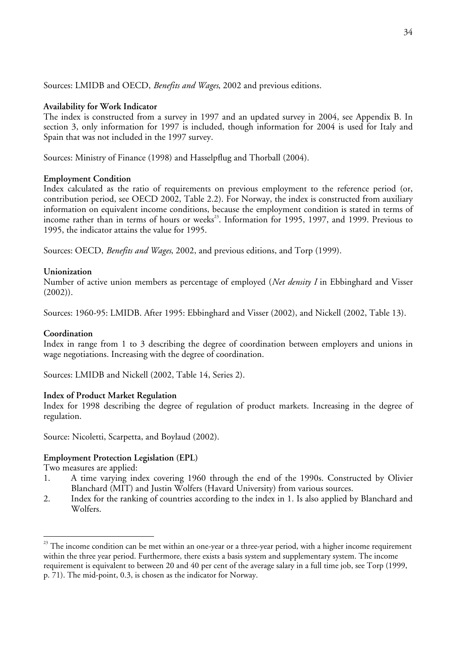Sources: LMIDB and OECD, *Benefits and Wages*, 2002 and previous editions.

### **Availability for Work Indicator**

The index is constructed from a survey in 1997 and an updated survey in 2004, see Appendix B. In section 3, only information for 1997 is included, though information for 2004 is used for Italy and Spain that was not included in the 1997 survey.

Sources: Ministry of Finance (1998) and Hasselpflug and Thorball (2004).

### **Employment Condition**

Index calculated as the ratio of requirements on previous employment to the reference period (or, contribution period, see OECD 2002, Table 2.2). For Norway, the index is constructed from auxiliary information on equivalent income conditions, because the employment condition is stated in terms of income rather than in terms of hours or weeks<sup>23</sup>. Information for 1995, 1997, and 1999. Previous to 1995, the indicator attains the value for 1995.

Sources: OECD, *Benefits and Wages*, 2002, and previous editions, and Torp (1999).

## **Unionization**

Number of active union members as percentage of employed (*Net density I* in Ebbinghard and Visser (2002)).

Sources: 1960-95: LMIDB. After 1995: Ebbinghard and Visser (2002), and Nickell (2002, Table 13).

## **Coordination**

Index in range from 1 to 3 describing the degree of coordination between employers and unions in wage negotiations. Increasing with the degree of coordination.

Sources: LMIDB and Nickell (2002, Table 14, Series 2).

## **Index of Product Market Regulation**

Index for 1998 describing the degree of regulation of product markets. Increasing in the degree of regulation.

Source: Nicoletti, Scarpetta, and Boylaud (2002).

## **Employment Protection Legislation (EPL)**

Two measures are applied:

- 1. A time varying index covering 1960 through the end of the 1990s. Constructed by Olivier Blanchard (MIT) and Justin Wolfers (Havard University) from various sources.
- 2. Index for the ranking of countries according to the index in 1. Is also applied by Blanchard and Wolfers.

<span id="page-33-0"></span><sup>&</sup>lt;sup>23</sup> The income condition can be met within an one-year or a three-year period, with a higher income requirement within the three year period. Furthermore, there exists a basis system and supplementary system. The income requirement is equivalent to between 20 and 40 per cent of the average salary in a full time job, see Torp (1999, p. 71). The mid-point, 0.3, is chosen as the indicator for Norway.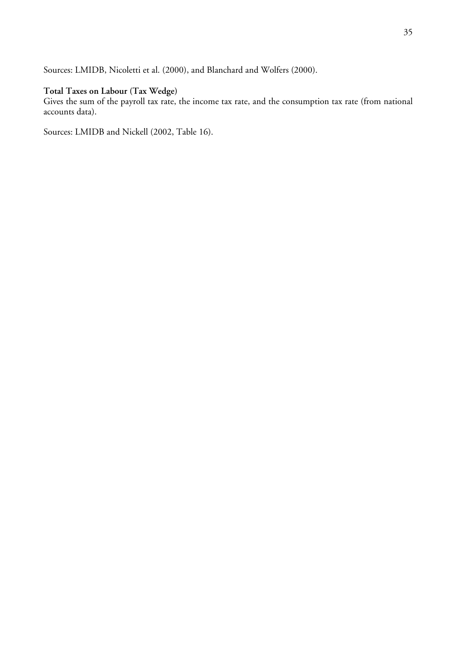Sources: LMIDB, Nicoletti et al. (2000), and Blanchard and Wolfers (2000).

# **Total Taxes on Labour (Tax Wedge)**

Gives the sum of the payroll tax rate, the income tax rate, and the consumption tax rate (from national accounts data).

Sources: LMIDB and Nickell (2002, Table 16).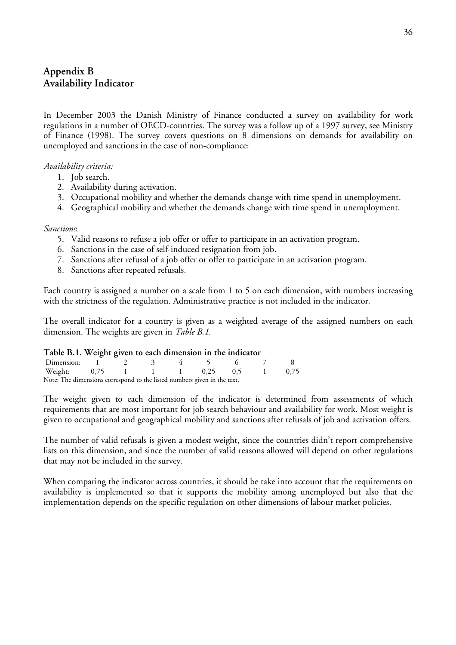# **Appendix B Availability Indicator**

In December 2003 the Danish Ministry of Finance conducted a survey on availability for work regulations in a number of OECD-countries. The survey was a follow up of a 1997 survey, see Ministry of Finance (1998). The survey covers questions on 8 dimensions on demands for availability on unemployed and sanctions in the case of non-compliance:

### *Availability criteria:*

- 1. Job search.
- 2. Availability during activation.
- 3. Occupational mobility and whether the demands change with time spend in unemployment.
- 4. Geographical mobility and whether the demands change with time spend in unemployment.

### *Sanctions*:

- 5. Valid reasons to refuse a job offer or offer to participate in an activation program.
- 6. Sanctions in the case of self-induced resignation from job.
- 7. Sanctions after refusal of a job offer or offer to participate in an activation program.
- 8. Sanctions after repeated refusals.

Each country is assigned a number on a scale from 1 to 5 on each dimension, with numbers increasing with the strictness of the regulation. Administrative practice is not included in the indicator.

The overall indicator for a country is given as a weighted average of the assigned numbers on each dimension. The weights are given in *Table B.1*.

### **Table B.1. Weight given to each dimension in the indicator**

| ----------                                                                                     |  |  |  |  |     |  |  |
|------------------------------------------------------------------------------------------------|--|--|--|--|-----|--|--|
| Jimension:                                                                                     |  |  |  |  |     |  |  |
|                                                                                                |  |  |  |  | ◡.∠ |  |  |
| $N_{\alpha \star \alpha}$<br>The dimensions correspond to the listed numbers cuses in the tout |  |  |  |  |     |  |  |

Note: The dimensions correspond to the listed numbers given in the text.

The weight given to each dimension of the indicator is determined from assessments of which requirements that are most important for job search behaviour and availability for work. Most weight is given to occupational and geographical mobility and sanctions after refusals of job and activation offers.

The number of valid refusals is given a modest weight, since the countries didn't report comprehensive lists on this dimension, and since the number of valid reasons allowed will depend on other regulations that may not be included in the survey.

When comparing the indicator across countries, it should be take into account that the requirements on availability is implemented so that it supports the mobility among unemployed but also that the implementation depends on the specific regulation on other dimensions of labour market policies.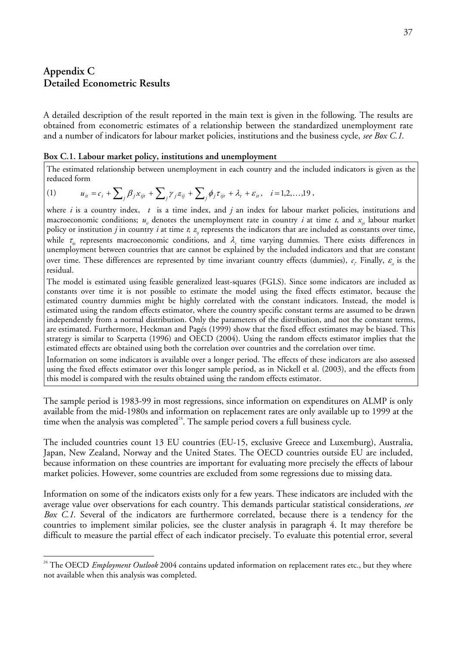# **Appendix C Detailed Econometric Results**

 $\overline{a}$ 

A detailed description of the result reported in the main text is given in the following. The results are obtained from econometric estimates of a relationship between the standardized unemployment rate and a number of indicators for labour market policies, institutions and the business cycle, *see Box C.1*.

#### **Box C.1. Labour market policy, institutions and unemployment**

The estimated relationship between unemployment in each country and the included indicators is given as the reduced form

(1) 
$$
u_{it} = c_i + \sum_j \beta_j x_{ijt} + \sum_j \gamma_j z_{ij} + \sum_j \phi_j \tau_{ijt} + \lambda_t + \varepsilon_{it}, \quad i = 1, 2, ..., 19,
$$

where *i* is a country index, *t* is a time index, and *j* an index for labour market policies, institutions and macroeconomic conditions;  $u_{i}$  denotes the unemployment rate in country *i* at time *t*, and  $x_{ii}$  labour market policy or institution *j* in country *i* at time *t*;  $z_{ij}$  represents the indicators that are included as constants over time, while  $\tau_{\rm in}$  represents macroeconomic conditions, and  $\lambda_{\rm t}$  time varying dummies. There exists differences in unemployment between countries that are cannot be explained by the included indicators and that are constant over time. These differences are represented by time invariant country effects (dummies),  $c_i$ . Finally,  $\varepsilon$ <sub>*i*</sub> is the residual.

The model is estimated using feasible generalized least-squares (FGLS). Since some indicators are included as constants over time it is not possible to estimate the model using the fixed effects estimator, because the estimated country dummies might be highly correlated with the constant indicators. Instead, the model is estimated using the random effects estimator, where the country specific constant terms are assumed to be drawn independently from a normal distribution. Only the parameters of the distribution, and not the constant terms, are estimated. Furthermore, Heckman and Pagés (1999) show that the fixed effect estimates may be biased. This strategy is similar to Scarpetta (1996) and OECD (2004). Using the random effects estimator implies that the estimated effects are obtained using both the correlation over countries and the correlation over time.

Information on some indicators is available over a longer period. The effects of these indicators are also assessed using the fixed effects estimator over this longer sample period, as in Nickell et al. (2003), and the effects from this model is compared with the results obtained using the random effects estimator.

The sample period is 1983-99 in most regressions, since information on expenditures on ALMP is only available from the mid-1980s and information on replacement rates are only available up to 1999 at the time when the analysis was completed $24$ . The sample period covers a full business cycle.

The included countries count 13 EU countries (EU-15, exclusive Greece and Luxemburg), Australia, Japan, New Zealand, Norway and the United States. The OECD countries outside EU are included, because information on these countries are important for evaluating more precisely the effects of labour market policies. However, some countries are excluded from some regressions due to missing data.

Information on some of the indicators exists only for a few years. These indicators are included with the average value over observations for each country. This demands particular statistical considerations, *see Box C.1*. Several of the indicators are furthermore correlated, because there is a tendency for the countries to implement similar policies, see the cluster analysis in paragraph 4. It may therefore be difficult to measure the partial effect of each indicator precisely. To evaluate this potential error, several

<span id="page-36-0"></span><sup>&</sup>lt;sup>24</sup> The OECD *Employment Outlook* 2004 contains updated information on replacement rates etc., but they where not available when this analysis was completed.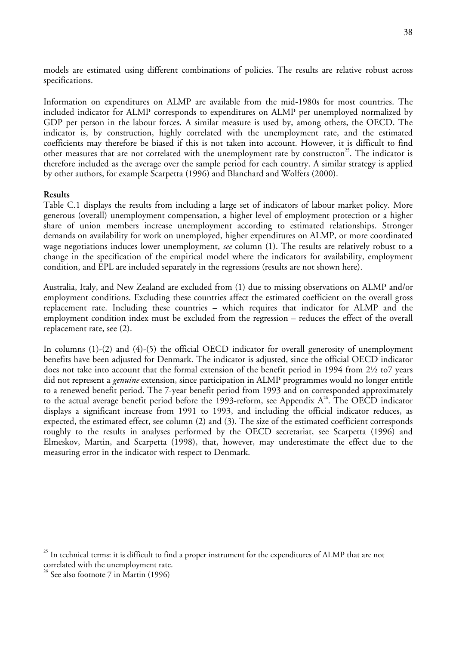models are estimated using different combinations of policies. The results are relative robust across specifications.

Information on expenditures on ALMP are available from the mid-1980s for most countries. The included indicator for ALMP corresponds to expenditures on ALMP per unemployed normalized by GDP per person in the labour forces. A similar measure is used by, among others, the OECD. The indicator is, by construction, highly correlated with the unemployment rate, and the estimated coefficients may therefore be biased if this is not taken into account. However, it is difficult to find other measures that are not correlated with the unemployment rate by constructon<sup>25</sup>. The indicator is therefore included as the average over the sample period for each country. A similar strategy is applied by other authors, for example Scarpetta (1996) and Blanchard and Wolfers (2000).

### **Results**

Table C.1 displays the results from including a large set of indicators of labour market policy. More generous (overall) unemployment compensation, a higher level of employment protection or a higher share of union members increase unemployment according to estimated relationships. Stronger demands on availability for work on unemployed, higher expenditures on ALMP, or more coordinated wage negotiations induces lower unemployment, *see* column (1). The results are relatively robust to a change in the specification of the empirical model where the indicators for availability, employment condition, and EPL are included separately in the regressions (results are not shown here).

Australia, Italy, and New Zealand are excluded from (1) due to missing observations on ALMP and/or employment conditions. Excluding these countries affect the estimated coefficient on the overall gross replacement rate. Including these countries – which requires that indicator for ALMP and the employment condition index must be excluded from the regression – reduces the effect of the overall replacement rate, see (2).

In columns (1)-(2) and (4)-(5) the official OECD indicator for overall generosity of unemployment benefits have been adjusted for Denmark. The indicator is adjusted, since the official OECD indicator does not take into account that the formal extension of the benefit period in 1994 from 2½ to7 years did not represent a *genuine* extension, since participation in ALMP programmes would no longer entitle to a renewed benefit period. The 7-year benefit period from 1993 and on corresponded approximately to the actual average benefit period before the 1993-reform, see Appendix  $A^{26}$ . The OECD indicator displays a significant increase from 1991 to 1993, and including the official indicator reduces, as expected, the estimated effect, see column (2) and (3). The size of the estimated coefficient corresponds roughly to the results in analyses performed by the OECD secretariat, see Scarpetta (1996) and Elmeskov, Martin, and Scarpetta (1998), that, however, may underestimate the effect due to the measuring error in the indicator with respect to Denmark.

<span id="page-37-0"></span><sup>&</sup>lt;sup>25</sup> In technical terms: it is difficult to find a proper instrument for the expenditures of ALMP that are not

<span id="page-37-1"></span>correlated with the unemployment rate. <sup>26</sup> See also footnote 7 in Martin (1996)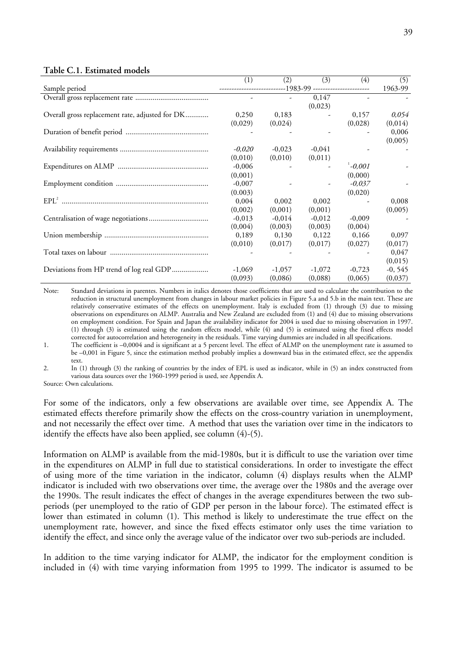#### **Table C.1. Estimated models**

|                                                 | (1)                                                           | (2)                      | (3)      | (4)         | (5)       |
|-------------------------------------------------|---------------------------------------------------------------|--------------------------|----------|-------------|-----------|
| Sample period                                   | ------------------------------1983-99 ----------------------- |                          |          |             | 1963-99   |
|                                                 |                                                               |                          | 0,147    |             |           |
|                                                 |                                                               |                          | (0,023)  |             |           |
| Overall gross replacement rate, adjusted for DK | 0,250                                                         | 0,183                    |          | 0,157       | 0,054     |
|                                                 | (0,029)                                                       | (0,024)                  |          | (0,028)     | (0,014)   |
|                                                 |                                                               |                          |          |             | 0,006     |
|                                                 |                                                               |                          |          |             | (0,005)   |
|                                                 | $-0,020$                                                      | $-0,023$                 | $-0,041$ |             |           |
|                                                 | (0,010)                                                       | (0,010)                  | (0,011)  |             |           |
|                                                 | $-0,006$                                                      | $\overline{\phantom{a}}$ |          | $1 - 0,001$ |           |
|                                                 | (0,001)                                                       |                          |          | (0,000)     |           |
|                                                 | $-0,007$                                                      |                          |          | $-0.037$    |           |
|                                                 | (0.003)                                                       |                          |          | (0,020)     |           |
|                                                 | 0.004                                                         | 0.002                    | 0.002    |             | 0,008     |
|                                                 | (0,002)                                                       | (0,001)                  | (0,001)  |             | (0,005)   |
|                                                 | $-0.013$                                                      | $-0.014$                 | $-0,012$ | $-0,009$    |           |
|                                                 | (0,004)                                                       | (0,003)                  | (0,003)  | (0,004)     |           |
|                                                 | 0,189                                                         | 0,130                    | 0.122    | 0,166       | 0,097     |
|                                                 | (0,010)                                                       | (0,017)                  | (0,017)  | (0,027)     | (0,017)   |
|                                                 |                                                               |                          |          |             | 0,047     |
|                                                 |                                                               |                          |          |             | (0,015)   |
| Deviations from HP trend of log real GDP        | $-1,069$                                                      | $-1,057$                 | $-1,072$ | $-0,723$    | $-0, 545$ |
|                                                 | (0,093)                                                       | (0,086)                  | (0,088)  | (0,065)     | (0,037)   |

Note: Standard deviations in parentes. Numbers in italics denotes those coefficients that are used to calculate the contribution to the reduction in structural unemployment from changes in labour market policies in Figure 5.a and 5.b in the main text. These are relatively conservative estimates of the effects on unemployment. Italy is excluded from (1) through (3) due to missing observations on expenditures on ALMP. Australia and New Zealand are excluded from (1) and (4) due to missing observations on employment condition. For Spain and Japan the availability indicator for 2004 is used due to missing observation in 1997. (1) through (3) is estimated using the random effects model, while (4) and (5) is estimated using the fixed effects model corrected for autocorrelation and heterogeneity in the residuals. Time varying dummies are included in all specifications.

1. The coefficient is –0,0004 and is significant at a 5 percent level. The effect of ALMP on the unemployment rate is assumed to be –0,001 in Figure 5, since the estimation method probably implies a downward bias in the estimated effect, see the appendix text.

2. In (1) through (3) the ranking of countries by the index of EPL is used as indicator, while in (5) an index constructed from various data sources over the 1960-1999 period is used, see Appendix A.

Source: Own calculations.

For some of the indicators, only a few observations are available over time, see Appendix A. The estimated effects therefore primarily show the effects on the cross-country variation in unemployment, and not necessarily the effect over time. A method that uses the variation over time in the indicators to identify the effects have also been applied, see column (4)-(5).

Information on ALMP is available from the mid-1980s, but it is difficult to use the variation over time in the expenditures on ALMP in full due to statistical considerations. In order to investigate the effect of using more of the time variation in the indicator, column (4) displays results when the ALMP indicator is included with two observations over time, the average over the 1980s and the average over the 1990s. The result indicates the effect of changes in the average expenditures between the two subperiods (per unemployed to the ratio of GDP per person in the labour force). The estimated effect is lower than estimated in column (1). This method is likely to underestimate the true effect on the unemployment rate, however, and since the fixed effects estimator only uses the time variation to identify the effect, and since only the average value of the indicator over two sub-periods are included.

In addition to the time varying indicator for ALMP, the indicator for the employment condition is included in (4) with time varying information from 1995 to 1999. The indicator is assumed to be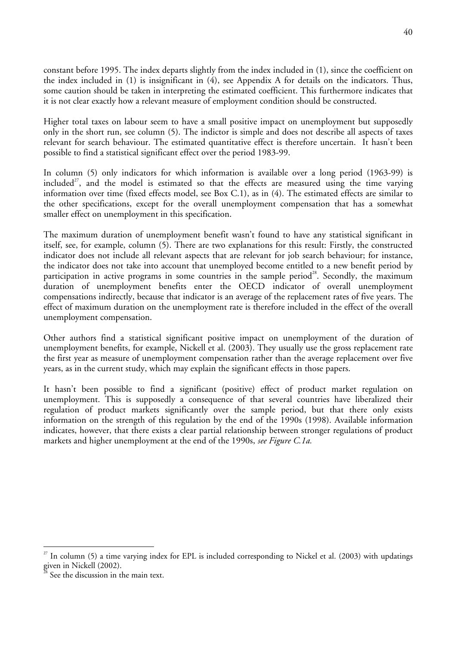constant before 1995. The index departs slightly from the index included in (1), since the coefficient on the index included in (1) is insignificant in (4), see Appendix A for details on the indicators. Thus, some caution should be taken in interpreting the estimated coefficient. This furthermore indicates that it is not clear exactly how a relevant measure of employment condition should be constructed.

Higher total taxes on labour seem to have a small positive impact on unemployment but supposedly only in the short run, see column (5). The indictor is simple and does not describe all aspects of taxes relevant for search behaviour. The estimated quantitative effect is therefore uncertain. It hasn't been possible to find a statistical significant effect over the period 1983-99.

In column (5) only indicators for which information is available over a long period (1963-99) is included<sup>27</sup>, and the model is estimated so that the effects are measured using the time varying information over time (fixed effects model, see Box C.1), as in (4). The estimated effects are similar to the other specifications, except for the overall unemployment compensation that has a somewhat smaller effect on unemployment in this specification.

The maximum duration of unemployment benefit wasn't found to have any statistical significant in itself, see, for example, column (5). There are two explanations for this result: Firstly, the constructed indicator does not include all relevant aspects that are relevant for job search behaviour; for instance, the indicator does not take into account that unemployed become entitled to a new benefit period by participation in active programs in some countries in the sample period<sup>28</sup>. Secondly, the maximum duration of unemployment benefits enter the OECD indicator of overall unemployment compensations indirectly, because that indicator is an average of the replacement rates of five years. The effect of maximum duration on the unemployment rate is therefore included in the effect of the overall unemployment compensation.

Other authors find a statistical significant positive impact on unemployment of the duration of unemployment benefits, for example, Nickell et al. (2003). They usually use the gross replacement rate the first year as measure of unemployment compensation rather than the average replacement over five years, as in the current study, which may explain the significant effects in those papers.

It hasn't been possible to find a significant (positive) effect of product market regulation on unemployment. This is supposedly a consequence of that several countries have liberalized their regulation of product markets significantly over the sample period, but that there only exists information on the strength of this regulation by the end of the 1990s (1998). Available information indicates, however, that there exists a clear partial relationship between stronger regulations of product markets and higher unemployment at the end of the 1990s, *see Figure C.1a.*

<span id="page-39-0"></span> $27$  In column (5) a time varying index for EPL is included corresponding to Nickel et al. (2003) with updatings given in Nickell (2002).

<span id="page-39-1"></span>See the discussion in the main text.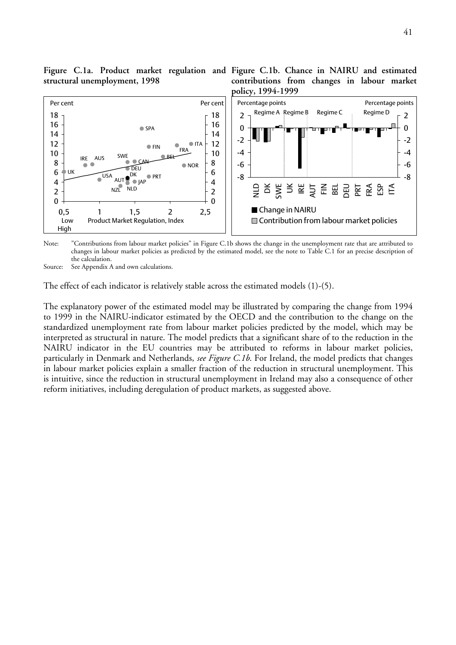

Note: "Contributions from labour market policies" in Figure C.1b shows the change in the unemployment rate that are attributed to changes in labour market policies as predicted by the estimated model, see the note to Table C.1 for an precise description of the calculation.

Source: See Appendix A and own calculations.

The effect of each indicator is relatively stable across the estimated models (1)-(5).

The explanatory power of the estimated model may be illustrated by comparing the change from 1994 to 1999 in the NAIRU-indicator estimated by the OECD and the contribution to the change on the standardized unemployment rate from labour market policies predicted by the model, which may be interpreted as structural in nature. The model predicts that a significant share of to the reduction in the NAIRU indicator in the EU countries may be attributed to reforms in labour market policies, particularly in Denmark and Netherlands, *see Figure C.1b*. For Ireland, the model predicts that changes in labour market policies explain a smaller fraction of the reduction in structural unemployment. This is intuitive, since the reduction in structural unemployment in Ireland may also a consequence of other reform initiatives, including deregulation of product markets, as suggested above.

**contributions from changes in labour market**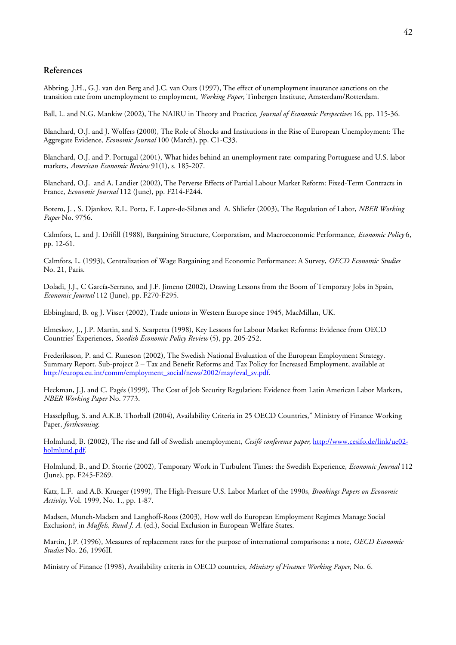#### **References**

Abbring, J.H., G.J. van den Berg and J.C. van Ours (1997), The effect of unemployment insurance sanctions on the transition rate from unemployment to employment, *Working Paper*, Tinbergen Institute, Amsterdam/Rotterdam.

Ball, L. and N.G. Mankiw (2002), The NAIRU in Theory and Practice*, Journal of Economic Perspectives* 16, pp. 115-36.

Blanchard, O.J. and J. Wolfers (2000), The Role of Shocks and Institutions in the Rise of European Unemployment: The Aggregate Evidence, *Economic Journal* 100 (March), pp. C1-C33.

Blanchard, O.J. and P. Portugal (2001), What hides behind an unemployment rate: comparing Portuguese and U.S. labor markets, *American Economic Review* 91(1), s. 185-207.

Blanchard, O.J. and A. Landier (2002), The Perverse Effects of Partial Labour Market Reform: Fixed-Term Contracts in France, *Economic Journal* 112 (June), pp. F214-F244.

Botero, J. , S. Djankov, R.L. Porta, F. Lopez-de-Silanes and A. Shliefer (2003), The Regulation of Labor, *NBER Working Paper* No. 9756.

Calmfors, L. and J. Drifill (1988), Bargaining Structure, Corporatism, and Macroeconomic Performance, *Economic Policy* 6, pp. 12-61.

Calmfors, L. (1993), Centralization of Wage Bargaining and Economic Performance: A Survey, *OECD Economic Studies*  No. 21, Paris.

Doladi, J.J., C García-Serrano, and J.F. Jimeno (2002), Drawing Lessons from the Boom of Temporary Jobs in Spain, *Economic Journal* 112 (June), pp. F270-F295.

Ebbinghard, B. og J. Visser (2002), Trade unions in Western Europe since 1945, MacMillan, UK.

Elmeskov, J., J.P. Martin, and S. Scarpetta (1998), Key Lessons for Labour Market Reforms: Evidence from OECD Countries' Experiences, *Swedish Economic Policy Review* (5), pp. 205-252.

Frederiksson, P. and C. Runeson (2002), The Swedish National Evaluation of the European Employment Strategy. Summary Report. Sub-project 2 – Tax and Benefit Reforms and Tax Policy for Increased Employment, available at [http://europa.eu.int/comm/employment\\_social/news/2002/may/eval\\_sv.pdf.](http://europa.eu.int/comm/employment_social/news/2002/may/eval_sv.pdf)

Heckman, J.J. and C. Pagés (1999), The Cost of Job Security Regulation: Evidence from Latin American Labor Markets, *NBER Working Paper* No. 7773.

Hasselpflug, S. and A.K.B. Thorball (2004), Availability Criteria in 25 OECD Countries," Ministry of Finance Working Paper, *forthcoming*.

Holmlund, B. (2002), The rise and fall of Swedish unemployment, *Cesifö conference paper*, [http://www.cesifo.de/link/ue02](http://www.cesifo.de/link/ue02-holmlund.pdf) [holmlund.pdf.](http://www.cesifo.de/link/ue02-holmlund.pdf)

Holmlund, B., and D. Storrie (2002), Temporary Work in Turbulent Times: the Swedish Experience, *Economic Journal* 112 (June), pp. F245-F269.

Katz, L.F. and A.B. Krueger (1999), The High-Pressure U.S. Labor Market of the 1990s, *Brookings Papers on Economic Activity*, Vol. 1999, No. 1., pp. 1-87.

Madsen, Munch-Madsen and Langhoff-Roos (2003), How well do European Employment Regimes Manage Social Exclusion?, in *Muffels, Ruud J. A.* (ed.), Social Exclusion in European Welfare States.

Martin, J.P. (1996), Measures of replacement rates for the purpose of international comparisons: a note, *OECD Economic Studies* No. 26, 1996II.

Ministry of Finance (1998), Availability criteria in OECD countries, *Ministry of Finance Working Paper*, No. 6.